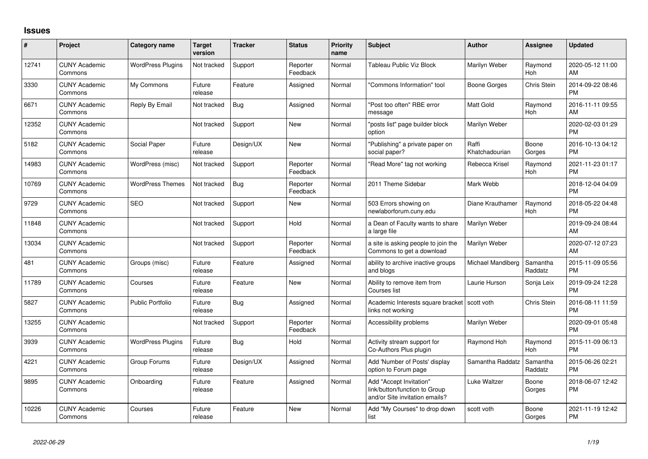## **Issues**

| #     | Project                         | <b>Category name</b>     | <b>Target</b><br>version | <b>Tracker</b> | <b>Status</b>        | Priority<br>name | <b>Subject</b>                                                                             | <b>Author</b>           | <b>Assignee</b>     | <b>Updated</b>                |
|-------|---------------------------------|--------------------------|--------------------------|----------------|----------------------|------------------|--------------------------------------------------------------------------------------------|-------------------------|---------------------|-------------------------------|
| 12741 | <b>CUNY Academic</b><br>Commons | <b>WordPress Plugins</b> | Not tracked              | Support        | Reporter<br>Feedback | Normal           | Tableau Public Viz Block                                                                   | Marilyn Weber           | Raymond<br>Hoh      | 2020-05-12 11:00<br>AM        |
| 3330  | <b>CUNY Academic</b><br>Commons | My Commons               | Future<br>release        | Feature        | Assigned             | Normal           | "Commons Information" tool                                                                 | Boone Gorges            | Chris Stein         | 2014-09-22 08:46<br><b>PM</b> |
| 6671  | <b>CUNY Academic</b><br>Commons | Reply By Email           | Not tracked              | Bug            | Assigned             | Normal           | "Post too often" RBE error<br>message                                                      | <b>Matt Gold</b>        | Raymond<br>Hoh      | 2016-11-11 09:55<br>AM        |
| 12352 | <b>CUNY Academic</b><br>Commons |                          | Not tracked              | Support        | New                  | Normal           | "posts list" page builder block<br>option                                                  | Marilyn Weber           |                     | 2020-02-03 01:29<br><b>PM</b> |
| 5182  | <b>CUNY Academic</b><br>Commons | Social Paper             | Future<br>release        | Design/UX      | <b>New</b>           | Normal           | "Publishing" a private paper on<br>social paper?                                           | Raffi<br>Khatchadourian | Boone<br>Gorges     | 2016-10-13 04:12<br><b>PM</b> |
| 14983 | <b>CUNY Academic</b><br>Commons | WordPress (misc)         | Not tracked              | Support        | Reporter<br>Feedback | Normal           | "Read More" tag not working                                                                | Rebecca Krisel          | Raymond<br>Hoh      | 2021-11-23 01:17<br><b>PM</b> |
| 10769 | <b>CUNY Academic</b><br>Commons | <b>WordPress Themes</b>  | Not tracked              | Bug            | Reporter<br>Feedback | Normal           | 2011 Theme Sidebar                                                                         | Mark Webb               |                     | 2018-12-04 04:09<br><b>PM</b> |
| 9729  | <b>CUNY Academic</b><br>Commons | <b>SEO</b>               | Not tracked              | Support        | New                  | Normal           | 503 Errors showing on<br>newlaborforum.cuny.edu                                            | Diane Krauthamer        | Raymond<br>Hoh      | 2018-05-22 04:48<br><b>PM</b> |
| 11848 | <b>CUNY Academic</b><br>Commons |                          | Not tracked              | Support        | Hold                 | Normal           | a Dean of Faculty wants to share<br>a large file                                           | Marilyn Weber           |                     | 2019-09-24 08:44<br>AM        |
| 13034 | <b>CUNY Academic</b><br>Commons |                          | Not tracked              | Support        | Reporter<br>Feedback | Normal           | a site is asking people to join the<br>Commons to get a download                           | Marilyn Weber           |                     | 2020-07-12 07:23<br>AM        |
| 481   | <b>CUNY Academic</b><br>Commons | Groups (misc)            | Future<br>release        | Feature        | Assigned             | Normal           | ability to archive inactive groups<br>and blogs                                            | Michael Mandiberg       | Samantha<br>Raddatz | 2015-11-09 05:56<br><b>PM</b> |
| 11789 | <b>CUNY Academic</b><br>Commons | Courses                  | Future<br>release        | Feature        | <b>New</b>           | Normal           | Ability to remove item from<br>Courses list                                                | Laurie Hurson           | Sonja Leix          | 2019-09-24 12:28<br><b>PM</b> |
| 5827  | <b>CUNY Academic</b><br>Commons | <b>Public Portfolio</b>  | Future<br>release        | Bug            | Assigned             | Normal           | Academic Interests square bracket   scott voth<br>links not working                        |                         | <b>Chris Stein</b>  | 2016-08-11 11:59<br><b>PM</b> |
| 13255 | <b>CUNY Academic</b><br>Commons |                          | Not tracked              | Support        | Reporter<br>Feedback | Normal           | Accessibility problems                                                                     | Marilyn Weber           |                     | 2020-09-01 05:48<br><b>PM</b> |
| 3939  | <b>CUNY Academic</b><br>Commons | <b>WordPress Plugins</b> | Future<br>release        | Bug            | Hold                 | Normal           | Activity stream support for<br>Co-Authors Plus plugin                                      | Raymond Hoh             | Raymond<br>Hoh      | 2015-11-09 06:13<br><b>PM</b> |
| 4221  | <b>CUNY Academic</b><br>Commons | Group Forums             | Future<br>release        | Design/UX      | Assigned             | Normal           | Add 'Number of Posts' display<br>option to Forum page                                      | Samantha Raddatz        | Samantha<br>Raddatz | 2015-06-26 02:21<br><b>PM</b> |
| 9895  | <b>CUNY Academic</b><br>Commons | Onboarding               | Future<br>release        | Feature        | Assigned             | Normal           | Add "Accept Invitation"<br>link/button/function to Group<br>and/or Site invitation emails? | Luke Waltzer            | Boone<br>Gorges     | 2018-06-07 12:42<br><b>PM</b> |
| 10226 | <b>CUNY Academic</b><br>Commons | Courses                  | Future<br>release        | Feature        | <b>New</b>           | Normal           | Add "My Courses" to drop down<br>list                                                      | scott voth              | Boone<br>Gorges     | 2021-11-19 12:42<br><b>PM</b> |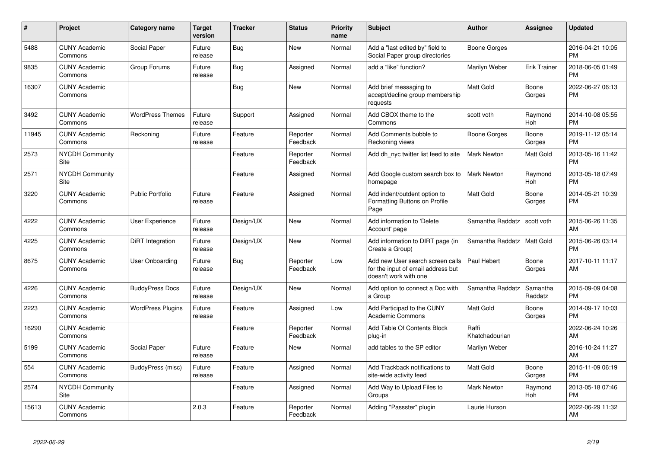| #     | Project                         | <b>Category name</b>     | <b>Target</b><br>version | <b>Tracker</b> | <b>Status</b>        | <b>Priority</b><br>name | <b>Subject</b>                                                                                  | <b>Author</b>           | Assignee            | <b>Updated</b>                |
|-------|---------------------------------|--------------------------|--------------------------|----------------|----------------------|-------------------------|-------------------------------------------------------------------------------------------------|-------------------------|---------------------|-------------------------------|
| 5488  | <b>CUNY Academic</b><br>Commons | Social Paper             | Future<br>release        | Bug            | <b>New</b>           | Normal                  | Add a "last edited by" field to<br>Social Paper group directories                               | Boone Gorges            |                     | 2016-04-21 10:05<br><b>PM</b> |
| 9835  | <b>CUNY Academic</b><br>Commons | Group Forums             | Future<br>release        | Bug            | Assigned             | Normal                  | add a "like" function?                                                                          | Marilyn Weber           | <b>Erik Trainer</b> | 2018-06-05 01:49<br><b>PM</b> |
| 16307 | <b>CUNY Academic</b><br>Commons |                          |                          | <b>Bug</b>     | New                  | Normal                  | Add brief messaging to<br>accept/decline group membership<br>requests                           | <b>Matt Gold</b>        | Boone<br>Gorges     | 2022-06-27 06:13<br><b>PM</b> |
| 3492  | <b>CUNY Academic</b><br>Commons | <b>WordPress Themes</b>  | Future<br>release        | Support        | Assigned             | Normal                  | Add CBOX theme to the<br>Commons                                                                | scott voth              | Raymond<br>Hoh      | 2014-10-08 05:55<br><b>PM</b> |
| 11945 | <b>CUNY Academic</b><br>Commons | Reckoning                | Future<br>release        | Feature        | Reporter<br>Feedback | Normal                  | Add Comments bubble to<br>Reckoning views                                                       | Boone Gorges            | Boone<br>Gorges     | 2019-11-12 05:14<br><b>PM</b> |
| 2573  | <b>NYCDH Community</b><br>Site  |                          |                          | Feature        | Reporter<br>Feedback | Normal                  | Add dh nyc twitter list feed to site                                                            | <b>Mark Newton</b>      | Matt Gold           | 2013-05-16 11:42<br><b>PM</b> |
| 2571  | <b>NYCDH Community</b><br>Site  |                          |                          | Feature        | Assigned             | Normal                  | Add Google custom search box to<br>homepage                                                     | <b>Mark Newton</b>      | Raymond<br>Hoh      | 2013-05-18 07:49<br><b>PM</b> |
| 3220  | <b>CUNY Academic</b><br>Commons | <b>Public Portfolio</b>  | Future<br>release        | Feature        | Assigned             | Normal                  | Add indent/outdent option to<br>Formatting Buttons on Profile<br>Page                           | <b>Matt Gold</b>        | Boone<br>Gorges     | 2014-05-21 10:39<br><b>PM</b> |
| 4222  | <b>CUNY Academic</b><br>Commons | User Experience          | Future<br>release        | Design/UX      | New                  | Normal                  | Add information to 'Delete<br>Account' page                                                     | Samantha Raddatz        | scott voth          | 2015-06-26 11:35<br>AM        |
| 4225  | <b>CUNY Academic</b><br>Commons | DiRT Integration         | Future<br>release        | Design/UX      | <b>New</b>           | Normal                  | Add information to DIRT page (in<br>Create a Group)                                             | Samantha Raddatz        | Matt Gold           | 2015-06-26 03:14<br><b>PM</b> |
| 8675  | <b>CUNY Academic</b><br>Commons | User Onboarding          | Future<br>release        | Bug            | Reporter<br>Feedback | Low                     | Add new User search screen calls<br>for the input of email address but<br>doesn't work with one | Paul Hebert             | Boone<br>Gorges     | 2017-10-11 11:17<br>AM        |
| 4226  | <b>CUNY Academic</b><br>Commons | <b>BuddyPress Docs</b>   | Future<br>release        | Design/UX      | New                  | Normal                  | Add option to connect a Doc with<br>a Group                                                     | Samantha Raddatz        | Samantha<br>Raddatz | 2015-09-09 04:08<br><b>PM</b> |
| 2223  | <b>CUNY Academic</b><br>Commons | <b>WordPress Plugins</b> | Future<br>release        | Feature        | Assigned             | Low                     | Add Participad to the CUNY<br><b>Academic Commons</b>                                           | <b>Matt Gold</b>        | Boone<br>Gorges     | 2014-09-17 10:03<br><b>PM</b> |
| 16290 | <b>CUNY Academic</b><br>Commons |                          |                          | Feature        | Reporter<br>Feedback | Normal                  | Add Table Of Contents Block<br>plug-in                                                          | Raffi<br>Khatchadourian |                     | 2022-06-24 10:26<br>AM        |
| 5199  | <b>CUNY Academic</b><br>Commons | Social Paper             | Future<br>release        | Feature        | New                  | Normal                  | add tables to the SP editor                                                                     | Marilyn Weber           |                     | 2016-10-24 11:27<br>AM        |
| 554   | <b>CUNY Academic</b><br>Commons | BuddyPress (misc)        | Future<br>release        | Feature        | Assigned             | Normal                  | Add Trackback notifications to<br>site-wide activity feed                                       | <b>Matt Gold</b>        | Boone<br>Gorges     | 2015-11-09 06:19<br><b>PM</b> |
| 2574  | <b>NYCDH Community</b><br>Site  |                          |                          | Feature        | Assigned             | Normal                  | Add Way to Upload Files to<br>Groups                                                            | <b>Mark Newton</b>      | Raymond<br>Hoh      | 2013-05-18 07:46<br><b>PM</b> |
| 15613 | <b>CUNY Academic</b><br>Commons |                          | 2.0.3                    | Feature        | Reporter<br>Feedback | Normal                  | Adding "Passster" plugin                                                                        | Laurie Hurson           |                     | 2022-06-29 11:32<br>AM        |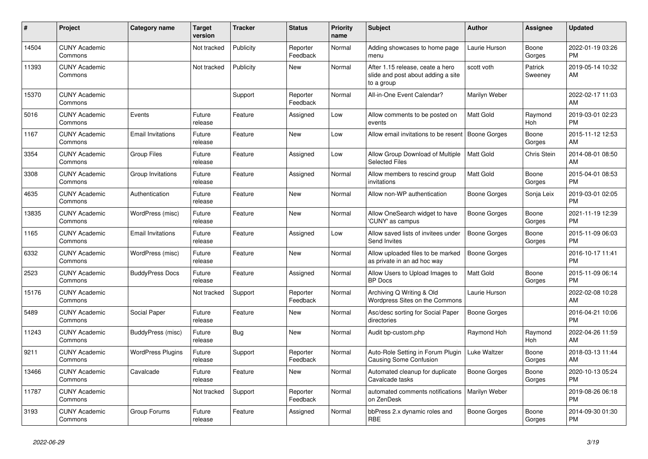| #     | Project                         | <b>Category name</b>     | <b>Target</b><br>version | <b>Tracker</b> | <b>Status</b>        | <b>Priority</b><br>name | <b>Subject</b>                                                                       | <b>Author</b>       | <b>Assignee</b>    | <b>Updated</b>                |
|-------|---------------------------------|--------------------------|--------------------------|----------------|----------------------|-------------------------|--------------------------------------------------------------------------------------|---------------------|--------------------|-------------------------------|
| 14504 | <b>CUNY Academic</b><br>Commons |                          | Not tracked              | Publicity      | Reporter<br>Feedback | Normal                  | Adding showcases to home page<br>menu                                                | Laurie Hurson       | Boone<br>Gorges    | 2022-01-19 03:26<br><b>PM</b> |
| 11393 | <b>CUNY Academic</b><br>Commons |                          | Not tracked              | Publicity      | <b>New</b>           | Normal                  | After 1.15 release, ceate a hero<br>slide and post about adding a site<br>to a group | scott voth          | Patrick<br>Sweeney | 2019-05-14 10:32<br>AM        |
| 15370 | <b>CUNY Academic</b><br>Commons |                          |                          | Support        | Reporter<br>Feedback | Normal                  | All-in-One Event Calendar?                                                           | Marilyn Weber       |                    | 2022-02-17 11:03<br>AM        |
| 5016  | <b>CUNY Academic</b><br>Commons | Events                   | Future<br>release        | Feature        | Assigned             | Low                     | Allow comments to be posted on<br>events                                             | Matt Gold           | Raymond<br>Hoh     | 2019-03-01 02:23<br><b>PM</b> |
| 1167  | <b>CUNY Academic</b><br>Commons | <b>Email Invitations</b> | Future<br>release        | Feature        | <b>New</b>           | Low                     | Allow email invitations to be resent                                                 | Boone Gorges        | Boone<br>Gorges    | 2015-11-12 12:53<br>AM        |
| 3354  | <b>CUNY Academic</b><br>Commons | <b>Group Files</b>       | Future<br>release        | Feature        | Assigned             | Low                     | Allow Group Download of Multiple<br><b>Selected Files</b>                            | Matt Gold           | Chris Stein        | 2014-08-01 08:50<br>AM        |
| 3308  | <b>CUNY Academic</b><br>Commons | Group Invitations        | Future<br>release        | Feature        | Assigned             | Normal                  | Allow members to rescind group<br>invitations                                        | <b>Matt Gold</b>    | Boone<br>Gorges    | 2015-04-01 08:53<br><b>PM</b> |
| 4635  | <b>CUNY Academic</b><br>Commons | Authentication           | Future<br>release        | Feature        | <b>New</b>           | Normal                  | Allow non-WP authentication                                                          | Boone Gorges        | Sonja Leix         | 2019-03-01 02:05<br><b>PM</b> |
| 13835 | <b>CUNY Academic</b><br>Commons | WordPress (misc)         | Future<br>release        | Feature        | <b>New</b>           | Normal                  | Allow OneSearch widget to have<br>'CUNY' as campus                                   | Boone Gorges        | Boone<br>Gorges    | 2021-11-19 12:39<br><b>PM</b> |
| 1165  | <b>CUNY Academic</b><br>Commons | <b>Email Invitations</b> | Future<br>release        | Feature        | Assigned             | Low                     | Allow saved lists of invitees under<br>Send Invites                                  | Boone Gorges        | Boone<br>Gorges    | 2015-11-09 06:03<br><b>PM</b> |
| 6332  | <b>CUNY Academic</b><br>Commons | WordPress (misc)         | Future<br>release        | Feature        | <b>New</b>           | Normal                  | Allow uploaded files to be marked<br>as private in an ad hoc way                     | <b>Boone Gorges</b> |                    | 2016-10-17 11:41<br><b>PM</b> |
| 2523  | <b>CUNY Academic</b><br>Commons | <b>BuddyPress Docs</b>   | Future<br>release        | Feature        | Assigned             | Normal                  | Allow Users to Upload Images to<br><b>BP</b> Docs                                    | <b>Matt Gold</b>    | Boone<br>Gorges    | 2015-11-09 06:14<br><b>PM</b> |
| 15176 | <b>CUNY Academic</b><br>Commons |                          | Not tracked              | Support        | Reporter<br>Feedback | Normal                  | Archiving Q Writing & Old<br>Wordpress Sites on the Commons                          | Laurie Hurson       |                    | 2022-02-08 10:28<br>AM        |
| 5489  | <b>CUNY Academic</b><br>Commons | Social Paper             | Future<br>release        | Feature        | <b>New</b>           | Normal                  | Asc/desc sorting for Social Paper<br>directories                                     | Boone Gorges        |                    | 2016-04-21 10:06<br><b>PM</b> |
| 11243 | <b>CUNY Academic</b><br>Commons | BuddyPress (misc)        | Future<br>release        | Bug            | <b>New</b>           | Normal                  | Audit bp-custom.php                                                                  | Raymond Hoh         | Raymond<br>Hoh     | 2022-04-26 11:59<br>AM        |
| 9211  | <b>CUNY Academic</b><br>Commons | <b>WordPress Plugins</b> | Future<br>release        | Support        | Reporter<br>Feedback | Normal                  | Auto-Role Setting in Forum Plugin<br><b>Causing Some Confusion</b>                   | Luke Waltzer        | Boone<br>Gorges    | 2018-03-13 11:44<br>AM        |
| 13466 | <b>CUNY Academic</b><br>Commons | Cavalcade                | Future<br>release        | Feature        | <b>New</b>           | Normal                  | Automated cleanup for duplicate<br>Cavalcade tasks                                   | <b>Boone Gorges</b> | Boone<br>Gorges    | 2020-10-13 05:24<br><b>PM</b> |
| 11787 | <b>CUNY Academic</b><br>Commons |                          | Not tracked              | Support        | Reporter<br>Feedback | Normal                  | automated comments notifications<br>on ZenDesk                                       | Marilyn Weber       |                    | 2019-08-26 06:18<br><b>PM</b> |
| 3193  | <b>CUNY Academic</b><br>Commons | Group Forums             | Future<br>release        | Feature        | Assigned             | Normal                  | bbPress 2.x dynamic roles and<br><b>RBE</b>                                          | <b>Boone Gorges</b> | Boone<br>Gorges    | 2014-09-30 01:30<br><b>PM</b> |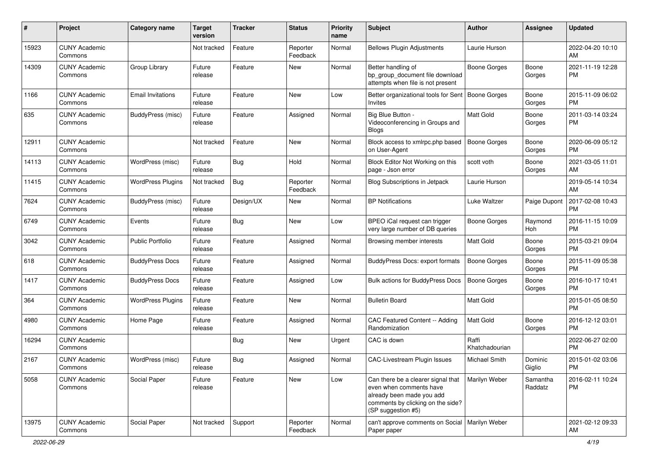| #     | Project                         | <b>Category name</b>     | <b>Target</b><br>version | <b>Tracker</b> | <b>Status</b>        | Priority<br>name | <b>Subject</b>                                                                                                                                        | Author                  | <b>Assignee</b>     | <b>Updated</b>                |
|-------|---------------------------------|--------------------------|--------------------------|----------------|----------------------|------------------|-------------------------------------------------------------------------------------------------------------------------------------------------------|-------------------------|---------------------|-------------------------------|
| 15923 | <b>CUNY Academic</b><br>Commons |                          | Not tracked              | Feature        | Reporter<br>Feedback | Normal           | <b>Bellows Plugin Adjustments</b>                                                                                                                     | Laurie Hurson           |                     | 2022-04-20 10:10<br>AM.       |
| 14309 | <b>CUNY Academic</b><br>Commons | Group Library            | Future<br>release        | Feature        | New                  | Normal           | Better handling of<br>bp_group_document file download<br>attempts when file is not present                                                            | <b>Boone Gorges</b>     | Boone<br>Gorges     | 2021-11-19 12:28<br><b>PM</b> |
| 1166  | <b>CUNY Academic</b><br>Commons | <b>Email Invitations</b> | Future<br>release        | Feature        | New                  | Low              | Better organizational tools for Sent   Boone Gorges<br><b>Invites</b>                                                                                 |                         | Boone<br>Gorges     | 2015-11-09 06:02<br><b>PM</b> |
| 635   | <b>CUNY Academic</b><br>Commons | BuddyPress (misc)        | Future<br>release        | Feature        | Assigned             | Normal           | Big Blue Button -<br>Videoconferencing in Groups and<br><b>Blogs</b>                                                                                  | Matt Gold               | Boone<br>Gorges     | 2011-03-14 03:24<br><b>PM</b> |
| 12911 | <b>CUNY Academic</b><br>Commons |                          | Not tracked              | Feature        | New                  | Normal           | Block access to xmlrpc.php based<br>on User-Agent                                                                                                     | <b>Boone Gorges</b>     | Boone<br>Gorges     | 2020-06-09 05:12<br>PM.       |
| 14113 | <b>CUNY Academic</b><br>Commons | WordPress (misc)         | Future<br>release        | Bug            | Hold                 | Normal           | Block Editor Not Working on this<br>page - Json error                                                                                                 | scott voth              | Boone<br>Gorges     | 2021-03-05 11:01<br>AM        |
| 11415 | <b>CUNY Academic</b><br>Commons | <b>WordPress Plugins</b> | Not tracked              | Bug            | Reporter<br>Feedback | Normal           | <b>Blog Subscriptions in Jetpack</b>                                                                                                                  | Laurie Hurson           |                     | 2019-05-14 10:34<br>AM        |
| 7624  | <b>CUNY Academic</b><br>Commons | BuddyPress (misc)        | Future<br>release        | Design/UX      | New                  | Normal           | <b>BP</b> Notifications                                                                                                                               | Luke Waltzer            | Paige Dupont        | 2017-02-08 10:43<br><b>PM</b> |
| 6749  | <b>CUNY Academic</b><br>Commons | Events                   | Future<br>release        | Bug            | New                  | Low              | BPEO iCal request can trigger<br>very large number of DB queries                                                                                      | Boone Gorges            | Raymond<br>Hoh      | 2016-11-15 10:09<br><b>PM</b> |
| 3042  | <b>CUNY Academic</b><br>Commons | <b>Public Portfolio</b>  | Future<br>release        | Feature        | Assigned             | Normal           | Browsing member interests                                                                                                                             | Matt Gold               | Boone<br>Gorges     | 2015-03-21 09:04<br>PM.       |
| 618   | <b>CUNY Academic</b><br>Commons | <b>BuddyPress Docs</b>   | Future<br>release        | Feature        | Assigned             | Normal           | BuddyPress Docs: export formats                                                                                                                       | <b>Boone Gorges</b>     | Boone<br>Gorges     | 2015-11-09 05:38<br><b>PM</b> |
| 1417  | <b>CUNY Academic</b><br>Commons | <b>BuddyPress Docs</b>   | Future<br>release        | Feature        | Assigned             | Low              | Bulk actions for BuddyPress Docs                                                                                                                      | <b>Boone Gorges</b>     | Boone<br>Gorges     | 2016-10-17 10:41<br><b>PM</b> |
| 364   | <b>CUNY Academic</b><br>Commons | <b>WordPress Plugins</b> | Future<br>release        | Feature        | New                  | Normal           | <b>Bulletin Board</b>                                                                                                                                 | Matt Gold               |                     | 2015-01-05 08:50<br><b>PM</b> |
| 4980  | <b>CUNY Academic</b><br>Commons | Home Page                | Future<br>release        | Feature        | Assigned             | Normal           | CAC Featured Content -- Adding<br>Randomization                                                                                                       | <b>Matt Gold</b>        | Boone<br>Gorges     | 2016-12-12 03:01<br><b>PM</b> |
| 16294 | <b>CUNY Academic</b><br>Commons |                          |                          | <b>Bug</b>     | New                  | Urgent           | CAC is down                                                                                                                                           | Raffi<br>Khatchadourian |                     | 2022-06-27 02:00<br><b>PM</b> |
| 2167  | <b>CUNY Academic</b><br>Commons | WordPress (misc)         | Future<br>release        | <b>Bug</b>     | Assigned             | Normal           | <b>CAC-Livestream Plugin Issues</b>                                                                                                                   | Michael Smith           | Dominic<br>Giglio   | 2015-01-02 03:06<br>PM        |
| 5058  | <b>CUNY Academic</b><br>Commons | Social Paper             | Future<br>release        | Feature        | New                  | Low              | Can there be a clearer signal that<br>even when comments have<br>already been made you add<br>comments by clicking on the side?<br>(SP suggestion #5) | Marilyn Weber           | Samantha<br>Raddatz | 2016-02-11 10:24<br><b>PM</b> |
| 13975 | <b>CUNY Academic</b><br>Commons | Social Paper             | Not tracked              | Support        | Reporter<br>Feedback | Normal           | can't approve comments on Social   Marilyn Weber<br>Paper paper                                                                                       |                         |                     | 2021-02-12 09:33<br>AM        |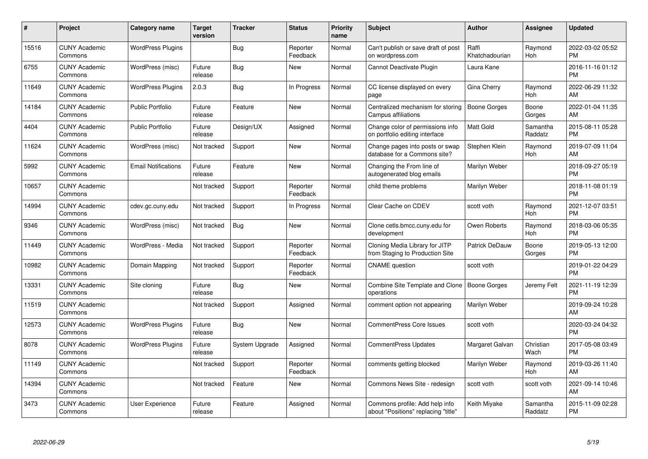| $\#$  | Project                         | <b>Category name</b>       | <b>Target</b><br>version | <b>Tracker</b> | <b>Status</b>        | Priority<br>name | <b>Subject</b>                                                        | <b>Author</b>           | <b>Assignee</b>     | <b>Updated</b>                |
|-------|---------------------------------|----------------------------|--------------------------|----------------|----------------------|------------------|-----------------------------------------------------------------------|-------------------------|---------------------|-------------------------------|
| 15516 | <b>CUNY Academic</b><br>Commons | <b>WordPress Plugins</b>   |                          | Bug            | Reporter<br>Feedback | Normal           | Can't publish or save draft of post<br>on wordpress.com               | Raffi<br>Khatchadourian | Raymond<br>Hoh      | 2022-03-02 05:52<br><b>PM</b> |
| 6755  | <b>CUNY Academic</b><br>Commons | WordPress (misc)           | Future<br>release        | Bug            | New                  | Normal           | Cannot Deactivate Plugin                                              | Laura Kane              |                     | 2016-11-16 01:12<br><b>PM</b> |
| 11649 | <b>CUNY Academic</b><br>Commons | <b>WordPress Plugins</b>   | 2.0.3                    | Bug            | In Progress          | Normal           | CC license displayed on every<br>page                                 | Gina Cherry             | Raymond<br>Hoh      | 2022-06-29 11:32<br>AM        |
| 14184 | <b>CUNY Academic</b><br>Commons | <b>Public Portfolio</b>    | Future<br>release        | Feature        | <b>New</b>           | Normal           | Centralized mechanism for storing<br>Campus affiliations              | <b>Boone Gorges</b>     | Boone<br>Gorges     | 2022-01-04 11:35<br>AM        |
| 4404  | <b>CUNY Academic</b><br>Commons | <b>Public Portfolio</b>    | Future<br>release        | Design/UX      | Assigned             | Normal           | Change color of permissions info<br>on portfolio editing interface    | <b>Matt Gold</b>        | Samantha<br>Raddatz | 2015-08-11 05:28<br><b>PM</b> |
| 11624 | <b>CUNY Academic</b><br>Commons | WordPress (misc)           | Not tracked              | Support        | New                  | Normal           | Change pages into posts or swap<br>database for a Commons site?       | Stephen Klein           | Raymond<br>Hoh      | 2019-07-09 11:04<br>AM        |
| 5992  | <b>CUNY Academic</b><br>Commons | <b>Email Notifications</b> | Future<br>release        | Feature        | <b>New</b>           | Normal           | Changing the From line of<br>autogenerated blog emails                | Marilyn Weber           |                     | 2018-09-27 05:19<br><b>PM</b> |
| 10657 | <b>CUNY Academic</b><br>Commons |                            | Not tracked              | Support        | Reporter<br>Feedback | Normal           | child theme problems                                                  | Marilyn Weber           |                     | 2018-11-08 01:19<br><b>PM</b> |
| 14994 | <b>CUNY Academic</b><br>Commons | cdev.gc.cuny.edu           | Not tracked              | Support        | In Progress          | Normal           | Clear Cache on CDEV                                                   | scott voth              | Raymond<br>Hoh      | 2021-12-07 03:51<br><b>PM</b> |
| 9346  | <b>CUNY Academic</b><br>Commons | WordPress (misc)           | Not tracked              | <b>Bug</b>     | <b>New</b>           | Normal           | Clone cetls.bmcc.cuny.edu for<br>development                          | Owen Roberts            | Raymond<br>Hoh      | 2018-03-06 05:35<br><b>PM</b> |
| 11449 | <b>CUNY Academic</b><br>Commons | WordPress - Media          | Not tracked              | Support        | Reporter<br>Feedback | Normal           | Cloning Media Library for JITP<br>from Staging to Production Site     | Patrick DeDauw          | Boone<br>Gorges     | 2019-05-13 12:00<br><b>PM</b> |
| 10982 | <b>CUNY Academic</b><br>Commons | Domain Mapping             | Not tracked              | Support        | Reporter<br>Feedback | Normal           | <b>CNAME</b> question                                                 | scott voth              |                     | 2019-01-22 04:29<br><b>PM</b> |
| 13331 | <b>CUNY Academic</b><br>Commons | Site cloning               | Future<br>release        | Bug            | New                  | Normal           | Combine Site Template and Clone<br>operations                         | <b>Boone Gorges</b>     | Jeremy Felt         | 2021-11-19 12:39<br><b>PM</b> |
| 11519 | <b>CUNY Academic</b><br>Commons |                            | Not tracked              | Support        | Assigned             | Normal           | comment option not appearing                                          | Marilyn Weber           |                     | 2019-09-24 10:28<br>AM        |
| 12573 | <b>CUNY Academic</b><br>Commons | <b>WordPress Plugins</b>   | Future<br>release        | Bug            | New                  | Normal           | CommentPress Core Issues                                              | scott voth              |                     | 2020-03-24 04:32<br><b>PM</b> |
| 8078  | <b>CUNY Academic</b><br>Commons | <b>WordPress Plugins</b>   | Future<br>release        | System Upgrade | Assigned             | Normal           | <b>CommentPress Updates</b>                                           | Margaret Galvan         | Christian<br>Wach   | 2017-05-08 03:49<br><b>PM</b> |
| 11149 | <b>CUNY Academic</b><br>Commons |                            | Not tracked              | Support        | Reporter<br>Feedback | Normal           | comments getting blocked                                              | Marilyn Weber           | Raymond<br>Hoh      | 2019-03-26 11:40<br>AM        |
| 14394 | <b>CUNY Academic</b><br>Commons |                            | Not tracked              | Feature        | New                  | Normal           | Commons News Site - redesign                                          | scott voth              | scott voth          | 2021-09-14 10:46<br>AM        |
| 3473  | <b>CUNY Academic</b><br>Commons | User Experience            | Future<br>release        | Feature        | Assigned             | Normal           | Commons profile: Add help info<br>about "Positions" replacing "title" | Keith Miyake            | Samantha<br>Raddatz | 2015-11-09 02:28<br><b>PM</b> |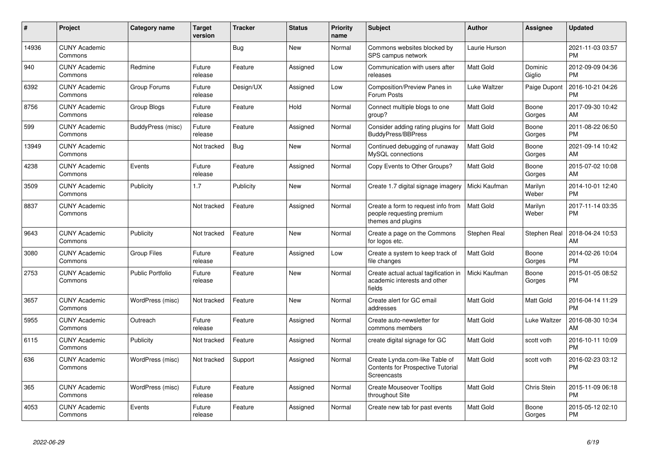| #     | Project                         | <b>Category name</b>     | <b>Target</b><br>version | <b>Tracker</b> | <b>Status</b> | <b>Priority</b><br>name | <b>Subject</b>                                                                            | <b>Author</b>    | <b>Assignee</b>   | <b>Updated</b>                |
|-------|---------------------------------|--------------------------|--------------------------|----------------|---------------|-------------------------|-------------------------------------------------------------------------------------------|------------------|-------------------|-------------------------------|
| 14936 | <b>CUNY Academic</b><br>Commons |                          |                          | Bug            | New           | Normal                  | Commons websites blocked by<br>SPS campus network                                         | Laurie Hurson    |                   | 2021-11-03 03:57<br><b>PM</b> |
| 940   | <b>CUNY Academic</b><br>Commons | Redmine                  | Future<br>release        | Feature        | Assigned      | Low                     | Communication with users after<br>releases                                                | Matt Gold        | Dominic<br>Giglio | 2012-09-09 04:36<br><b>PM</b> |
| 6392  | <b>CUNY Academic</b><br>Commons | Group Forums             | Future<br>release        | Design/UX      | Assigned      | Low                     | Composition/Preview Panes in<br>Forum Posts                                               | Luke Waltzer     | Paige Dupont      | 2016-10-21 04:26<br><b>PM</b> |
| 8756  | <b>CUNY Academic</b><br>Commons | Group Blogs              | Future<br>release        | Feature        | Hold          | Normal                  | Connect multiple blogs to one<br>group?                                                   | Matt Gold        | Boone<br>Gorges   | 2017-09-30 10:42<br>AM        |
| 599   | <b>CUNY Academic</b><br>Commons | <b>BuddyPress (misc)</b> | Future<br>release        | Feature        | Assigned      | Normal                  | Consider adding rating plugins for<br><b>BuddyPress/BBPress</b>                           | <b>Matt Gold</b> | Boone<br>Gorges   | 2011-08-22 06:50<br><b>PM</b> |
| 13949 | <b>CUNY Academic</b><br>Commons |                          | Not tracked              | <b>Bug</b>     | <b>New</b>    | Normal                  | Continued debugging of runaway<br>MySQL connections                                       | <b>Matt Gold</b> | Boone<br>Gorges   | 2021-09-14 10:42<br>AM        |
| 4238  | <b>CUNY Academic</b><br>Commons | Events                   | Future<br>release        | Feature        | Assigned      | Normal                  | Copy Events to Other Groups?                                                              | Matt Gold        | Boone<br>Gorges   | 2015-07-02 10:08<br>AM        |
| 3509  | <b>CUNY Academic</b><br>Commons | Publicity                | 1.7                      | Publicity      | <b>New</b>    | Normal                  | Create 1.7 digital signage imagery                                                        | Micki Kaufman    | Marilyn<br>Weber  | 2014-10-01 12:40<br><b>PM</b> |
| 8837  | <b>CUNY Academic</b><br>Commons |                          | Not tracked              | Feature        | Assigned      | Normal                  | Create a form to request info from<br>people requesting premium<br>themes and plugins     | <b>Matt Gold</b> | Marilyn<br>Weber  | 2017-11-14 03:35<br><b>PM</b> |
| 9643  | <b>CUNY Academic</b><br>Commons | Publicity                | Not tracked              | Feature        | <b>New</b>    | Normal                  | Create a page on the Commons<br>for logos etc.                                            | Stephen Real     | Stephen Real      | 2018-04-24 10:53<br>AM        |
| 3080  | <b>CUNY Academic</b><br>Commons | Group Files              | Future<br>release        | Feature        | Assigned      | Low                     | Create a system to keep track of<br>file changes                                          | <b>Matt Gold</b> | Boone<br>Gorges   | 2014-02-26 10:04<br><b>PM</b> |
| 2753  | <b>CUNY Academic</b><br>Commons | <b>Public Portfolio</b>  | Future<br>release        | Feature        | <b>New</b>    | Normal                  | Create actual actual tagification in<br>academic interests and other<br>fields            | Micki Kaufman    | Boone<br>Gorges   | 2015-01-05 08:52<br><b>PM</b> |
| 3657  | <b>CUNY Academic</b><br>Commons | WordPress (misc)         | Not tracked              | Feature        | New           | Normal                  | Create alert for GC email<br>addresses                                                    | <b>Matt Gold</b> | Matt Gold         | 2016-04-14 11:29<br><b>PM</b> |
| 5955  | <b>CUNY Academic</b><br>Commons | Outreach                 | Future<br>release        | Feature        | Assigned      | Normal                  | Create auto-newsletter for<br>commons members                                             | <b>Matt Gold</b> | Luke Waltzer      | 2016-08-30 10:34<br>AM        |
| 6115  | <b>CUNY Academic</b><br>Commons | Publicity                | Not tracked              | Feature        | Assigned      | Normal                  | create digital signage for GC                                                             | <b>Matt Gold</b> | scott voth        | 2016-10-11 10:09<br><b>PM</b> |
| 636   | <b>CUNY Academic</b><br>Commons | WordPress (misc)         | Not tracked              | Support        | Assigned      | Normal                  | Create Lynda.com-like Table of<br><b>Contents for Prospective Tutorial</b><br>Screencasts | <b>Matt Gold</b> | scott voth        | 2016-02-23 03:12<br><b>PM</b> |
| 365   | <b>CUNY Academic</b><br>Commons | WordPress (misc)         | Future<br>release        | Feature        | Assigned      | Normal                  | <b>Create Mouseover Tooltips</b><br>throughout Site                                       | <b>Matt Gold</b> | Chris Stein       | 2015-11-09 06:18<br><b>PM</b> |
| 4053  | <b>CUNY Academic</b><br>Commons | Events                   | Future<br>release        | Feature        | Assigned      | Normal                  | Create new tab for past events                                                            | <b>Matt Gold</b> | Boone<br>Gorges   | 2015-05-12 02:10<br><b>PM</b> |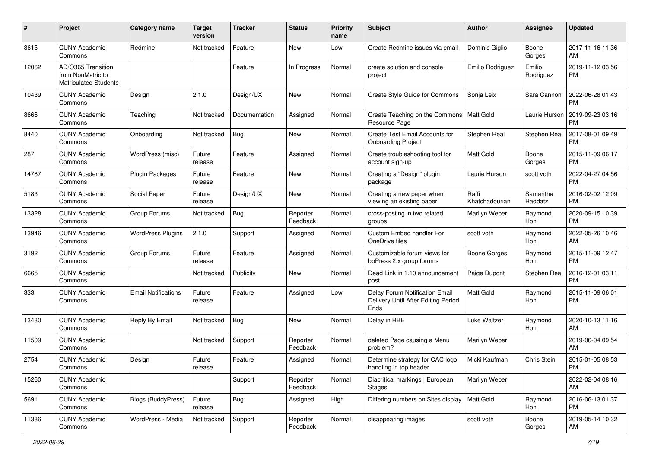| #     | Project                                                                 | <b>Category name</b>       | <b>Target</b><br>version | <b>Tracker</b> | <b>Status</b>        | <b>Priority</b><br>name | <b>Subject</b>                                                                | Author                  | Assignee            | <b>Updated</b>                |
|-------|-------------------------------------------------------------------------|----------------------------|--------------------------|----------------|----------------------|-------------------------|-------------------------------------------------------------------------------|-------------------------|---------------------|-------------------------------|
| 3615  | <b>CUNY Academic</b><br>Commons                                         | Redmine                    | Not tracked              | Feature        | New                  | Low                     | Create Redmine issues via email                                               | Dominic Giglio          | Boone<br>Gorges     | 2017-11-16 11:36<br>AM        |
| 12062 | AD/O365 Transition<br>from NonMatric to<br><b>Matriculated Students</b> |                            |                          | Feature        | In Progress          | Normal                  | create solution and console<br>project                                        | Emilio Rodriguez        | Emilio<br>Rodriguez | 2019-11-12 03:56<br><b>PM</b> |
| 10439 | <b>CUNY Academic</b><br>Commons                                         | Design                     | 2.1.0                    | Design/UX      | New                  | Normal                  | Create Style Guide for Commons                                                | Sonja Leix              | Sara Cannon         | 2022-06-28 01:43<br><b>PM</b> |
| 8666  | <b>CUNY Academic</b><br>Commons                                         | Teaching                   | Not tracked              | Documentation  | Assigned             | Normal                  | Create Teaching on the Commons<br>Resource Page                               | <b>Matt Gold</b>        | Laurie Hurson       | 2019-09-23 03:16<br><b>PM</b> |
| 8440  | <b>CUNY Academic</b><br>Commons                                         | Onboarding                 | Not tracked              | Bug            | New                  | Normal                  | Create Test Email Accounts for<br><b>Onboarding Project</b>                   | Stephen Real            | Stephen Real        | 2017-08-01 09:49<br><b>PM</b> |
| 287   | <b>CUNY Academic</b><br>Commons                                         | WordPress (misc)           | Future<br>release        | Feature        | Assigned             | Normal                  | Create troubleshooting tool for<br>account sign-up                            | <b>Matt Gold</b>        | Boone<br>Gorges     | 2015-11-09 06:17<br><b>PM</b> |
| 14787 | <b>CUNY Academic</b><br>Commons                                         | <b>Plugin Packages</b>     | Future<br>release        | Feature        | New                  | Normal                  | Creating a "Design" plugin<br>package                                         | Laurie Hurson           | scott voth          | 2022-04-27 04:56<br><b>PM</b> |
| 5183  | <b>CUNY Academic</b><br>Commons                                         | Social Paper               | Future<br>release        | Design/UX      | New                  | Normal                  | Creating a new paper when<br>viewing an existing paper                        | Raffi<br>Khatchadourian | Samantha<br>Raddatz | 2016-02-02 12:09<br><b>PM</b> |
| 13328 | <b>CUNY Academic</b><br>Commons                                         | Group Forums               | Not tracked              | Bug            | Reporter<br>Feedback | Normal                  | cross-posting in two related<br>groups                                        | Marilyn Weber           | Raymond<br>Hoh      | 2020-09-15 10:39<br><b>PM</b> |
| 13946 | <b>CUNY Academic</b><br>Commons                                         | <b>WordPress Plugins</b>   | 2.1.0                    | Support        | Assigned             | Normal                  | Custom Embed handler For<br>OneDrive files                                    | scott voth              | Raymond<br>Hoh      | 2022-05-26 10:46<br>AM        |
| 3192  | <b>CUNY Academic</b><br>Commons                                         | Group Forums               | Future<br>release        | Feature        | Assigned             | Normal                  | Customizable forum views for<br>bbPress 2.x group forums                      | <b>Boone Gorges</b>     | Raymond<br>Hoh      | 2015-11-09 12:47<br><b>PM</b> |
| 6665  | <b>CUNY Academic</b><br>Commons                                         |                            | Not tracked              | Publicity      | New                  | Normal                  | Dead Link in 1.10 announcement<br>post                                        | Paige Dupont            | Stephen Real        | 2016-12-01 03:11<br><b>PM</b> |
| 333   | <b>CUNY Academic</b><br>Commons                                         | <b>Email Notifications</b> | Future<br>release        | Feature        | Assigned             | Low                     | Delay Forum Notification Email<br>Delivery Until After Editing Period<br>Ends | <b>Matt Gold</b>        | Raymond<br>Hoh      | 2015-11-09 06:01<br><b>PM</b> |
| 13430 | <b>CUNY Academic</b><br>Commons                                         | Reply By Email             | Not tracked              | <b>Bug</b>     | New                  | Normal                  | Delay in RBE                                                                  | Luke Waltzer            | Raymond<br>Hoh      | 2020-10-13 11:16<br>AM        |
| 11509 | <b>CUNY Academic</b><br>Commons                                         |                            | Not tracked              | Support        | Reporter<br>Feedback | Normal                  | deleted Page causing a Menu<br>problem?                                       | Marilyn Weber           |                     | 2019-06-04 09:54<br>AM        |
| 2754  | <b>CUNY Academic</b><br>Commons                                         | Design                     | Future<br>release        | Feature        | Assigned             | Normal                  | Determine strategy for CAC logo<br>handling in top header                     | Micki Kaufman           | Chris Stein         | 2015-01-05 08:53<br>PM        |
| 15260 | <b>CUNY Academic</b><br>Commons                                         |                            |                          | Support        | Reporter<br>Feedback | Normal                  | Diacritical markings   European<br>Stages                                     | Marilyn Weber           |                     | 2022-02-04 08:16<br>AM        |
| 5691  | <b>CUNY Academic</b><br>Commons                                         | <b>Blogs (BuddyPress)</b>  | Future<br>release        | <b>Bug</b>     | Assigned             | High                    | Differing numbers on Sites display                                            | Matt Gold               | Raymond<br>Hoh      | 2016-06-13 01:37<br><b>PM</b> |
| 11386 | <b>CUNY Academic</b><br>Commons                                         | WordPress - Media          | Not tracked              | Support        | Reporter<br>Feedback | Normal                  | disappearing images                                                           | scott voth              | Boone<br>Gorges     | 2019-05-14 10:32<br>AM        |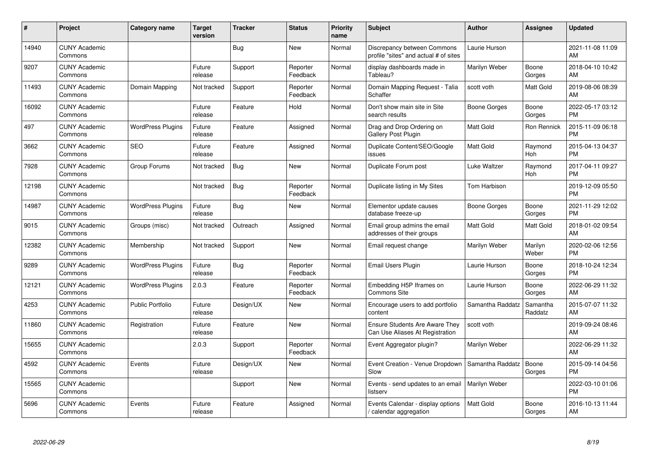| #     | Project                         | <b>Category name</b>     | <b>Target</b><br>version | <b>Tracker</b> | <b>Status</b>        | <b>Priority</b><br>name | <b>Subject</b>                                                           | <b>Author</b>    | <b>Assignee</b>     | <b>Updated</b>                |
|-------|---------------------------------|--------------------------|--------------------------|----------------|----------------------|-------------------------|--------------------------------------------------------------------------|------------------|---------------------|-------------------------------|
| 14940 | <b>CUNY Academic</b><br>Commons |                          |                          | Bug            | <b>New</b>           | Normal                  | Discrepancy between Commons<br>profile "sites" and actual # of sites     | Laurie Hurson    |                     | 2021-11-08 11:09<br>AM        |
| 9207  | <b>CUNY Academic</b><br>Commons |                          | Future<br>release        | Support        | Reporter<br>Feedback | Normal                  | display dashboards made in<br>Tableau?                                   | Marilyn Weber    | Boone<br>Gorges     | 2018-04-10 10:42<br>AM        |
| 11493 | <b>CUNY Academic</b><br>Commons | Domain Mapping           | Not tracked              | Support        | Reporter<br>Feedback | Normal                  | Domain Mapping Request - Talia<br>Schaffer                               | scott voth       | Matt Gold           | 2019-08-06 08:39<br>AM        |
| 16092 | <b>CUNY Academic</b><br>Commons |                          | Future<br>release        | Feature        | Hold                 | Normal                  | Don't show main site in Site<br>search results                           | Boone Gorges     | Boone<br>Gorges     | 2022-05-17 03:12<br><b>PM</b> |
| 497   | <b>CUNY Academic</b><br>Commons | <b>WordPress Plugins</b> | Future<br>release        | Feature        | Assigned             | Normal                  | Drag and Drop Ordering on<br>Gallery Post Plugin                         | <b>Matt Gold</b> | Ron Rennick         | 2015-11-09 06:18<br><b>PM</b> |
| 3662  | <b>CUNY Academic</b><br>Commons | <b>SEO</b>               | Future<br>release        | Feature        | Assigned             | Normal                  | Duplicate Content/SEO/Google<br>issues                                   | Matt Gold        | Raymond<br>Hoh      | 2015-04-13 04:37<br><b>PM</b> |
| 7928  | <b>CUNY Academic</b><br>Commons | Group Forums             | Not tracked              | Bug            | <b>New</b>           | Normal                  | Duplicate Forum post                                                     | Luke Waltzer     | Raymond<br>Hoh      | 2017-04-11 09:27<br><b>PM</b> |
| 12198 | <b>CUNY Academic</b><br>Commons |                          | Not tracked              | Bug            | Reporter<br>Feedback | Normal                  | Duplicate listing in My Sites                                            | Tom Harbison     |                     | 2019-12-09 05:50<br><b>PM</b> |
| 14987 | <b>CUNY Academic</b><br>Commons | <b>WordPress Plugins</b> | Future<br>release        | <b>Bug</b>     | New                  | Normal                  | Elementor update causes<br>database freeze-up                            | Boone Gorges     | Boone<br>Gorges     | 2021-11-29 12:02<br><b>PM</b> |
| 9015  | <b>CUNY Academic</b><br>Commons | Groups (misc)            | Not tracked              | Outreach       | Assigned             | Normal                  | Email group admins the email<br>addresses of their groups                | <b>Matt Gold</b> | Matt Gold           | 2018-01-02 09:54<br>AM        |
| 12382 | <b>CUNY Academic</b><br>Commons | Membership               | Not tracked              | Support        | New                  | Normal                  | Email request change                                                     | Marilyn Weber    | Marilyn<br>Weber    | 2020-02-06 12:56<br><b>PM</b> |
| 9289  | <b>CUNY Academic</b><br>Commons | <b>WordPress Plugins</b> | Future<br>release        | Bug            | Reporter<br>Feedback | Normal                  | Email Users Plugin                                                       | Laurie Hurson    | Boone<br>Gorges     | 2018-10-24 12:34<br><b>PM</b> |
| 12121 | <b>CUNY Academic</b><br>Commons | <b>WordPress Plugins</b> | 2.0.3                    | Feature        | Reporter<br>Feedback | Normal                  | Embedding H5P Iframes on<br><b>Commons Site</b>                          | Laurie Hurson    | Boone<br>Gorges     | 2022-06-29 11:32<br>AM        |
| 4253  | <b>CUNY Academic</b><br>Commons | <b>Public Portfolio</b>  | Future<br>release        | Design/UX      | New                  | Normal                  | Encourage users to add portfolio<br>content                              | Samantha Raddatz | Samantha<br>Raddatz | 2015-07-07 11:32<br>AM        |
| 11860 | <b>CUNY Academic</b><br>Commons | Registration             | Future<br>release        | Feature        | New                  | Normal                  | <b>Ensure Students Are Aware They</b><br>Can Use Aliases At Registration | scott voth       |                     | 2019-09-24 08:46<br>AM        |
| 15655 | <b>CUNY Academic</b><br>Commons |                          | 2.0.3                    | Support        | Reporter<br>Feedback | Normal                  | Event Aggregator plugin?                                                 | Marilyn Weber    |                     | 2022-06-29 11:32<br>AM        |
| 4592  | <b>CUNY Academic</b><br>Commons | Events                   | Future<br>release        | Design/UX      | New                  | Normal                  | Event Creation - Venue Dropdown<br>Slow                                  | Samantha Raddatz | Boone<br>Gorges     | 2015-09-14 04:56<br><b>PM</b> |
| 15565 | <b>CUNY Academic</b><br>Commons |                          |                          | Support        | <b>New</b>           | Normal                  | Events - send updates to an email<br>listserv                            | Marilyn Weber    |                     | 2022-03-10 01:06<br><b>PM</b> |
| 5696  | <b>CUNY Academic</b><br>Commons | Events                   | Future<br>release        | Feature        | Assigned             | Normal                  | Events Calendar - display options<br>calendar aggregation /              | Matt Gold        | Boone<br>Gorges     | 2016-10-13 11:44<br>AM        |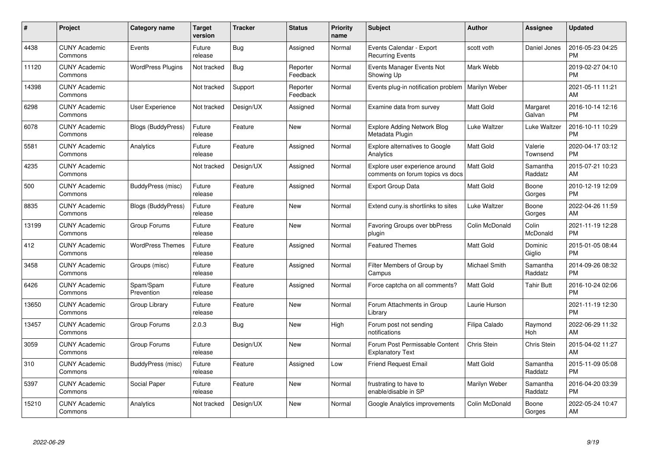| #     | Project                         | <b>Category name</b>      | Target<br>version | <b>Tracker</b> | <b>Status</b>        | Priority<br>name | <b>Subject</b>                                                     | <b>Author</b>    | Assignee            | <b>Updated</b>                |
|-------|---------------------------------|---------------------------|-------------------|----------------|----------------------|------------------|--------------------------------------------------------------------|------------------|---------------------|-------------------------------|
| 4438  | <b>CUNY Academic</b><br>Commons | Events                    | Future<br>release | Bug            | Assigned             | Normal           | Events Calendar - Export<br><b>Recurring Events</b>                | scott voth       | Daniel Jones        | 2016-05-23 04:25<br><b>PM</b> |
| 11120 | <b>CUNY Academic</b><br>Commons | <b>WordPress Plugins</b>  | Not tracked       | Bug            | Reporter<br>Feedback | Normal           | Events Manager Events Not<br>Showing Up                            | Mark Webb        |                     | 2019-02-27 04:10<br><b>PM</b> |
| 14398 | <b>CUNY Academic</b><br>Commons |                           | Not tracked       | Support        | Reporter<br>Feedback | Normal           | Events plug-in notification problem                                | Marilyn Weber    |                     | 2021-05-11 11:21<br>AM        |
| 6298  | <b>CUNY Academic</b><br>Commons | <b>User Experience</b>    | Not tracked       | Design/UX      | Assigned             | Normal           | Examine data from survey                                           | Matt Gold        | Margaret<br>Galvan  | 2016-10-14 12:16<br><b>PM</b> |
| 6078  | <b>CUNY Academic</b><br>Commons | <b>Blogs (BuddyPress)</b> | Future<br>release | Feature        | <b>New</b>           | Normal           | <b>Explore Adding Network Blog</b><br>Metadata Plugin              | Luke Waltzer     | Luke Waltzer        | 2016-10-11 10:29<br><b>PM</b> |
| 5581  | <b>CUNY Academic</b><br>Commons | Analytics                 | Future<br>release | Feature        | Assigned             | Normal           | <b>Explore alternatives to Google</b><br>Analytics                 | <b>Matt Gold</b> | Valerie<br>Townsend | 2020-04-17 03:12<br><b>PM</b> |
| 4235  | <b>CUNY Academic</b><br>Commons |                           | Not tracked       | Design/UX      | Assigned             | Normal           | Explore user experience around<br>comments on forum topics vs docs | Matt Gold        | Samantha<br>Raddatz | 2015-07-21 10:23<br>AM        |
| 500   | <b>CUNY Academic</b><br>Commons | BuddyPress (misc)         | Future<br>release | Feature        | Assigned             | Normal           | <b>Export Group Data</b>                                           | Matt Gold        | Boone<br>Gorges     | 2010-12-19 12:09<br><b>PM</b> |
| 8835  | <b>CUNY Academic</b><br>Commons | <b>Blogs (BuddyPress)</b> | Future<br>release | Feature        | New                  | Normal           | Extend cuny is shortlinks to sites                                 | Luke Waltzer     | Boone<br>Gorges     | 2022-04-26 11:59<br>AM        |
| 13199 | <b>CUNY Academic</b><br>Commons | Group Forums              | Future<br>release | Feature        | New                  | Normal           | Favoring Groups over bbPress<br>plugin                             | Colin McDonald   | Colin<br>McDonald   | 2021-11-19 12:28<br><b>PM</b> |
| 412   | <b>CUNY Academic</b><br>Commons | <b>WordPress Themes</b>   | Future<br>release | Feature        | Assigned             | Normal           | <b>Featured Themes</b>                                             | Matt Gold        | Dominic<br>Giglio   | 2015-01-05 08:44<br><b>PM</b> |
| 3458  | <b>CUNY Academic</b><br>Commons | Groups (misc)             | Future<br>release | Feature        | Assigned             | Normal           | Filter Members of Group by<br>Campus                               | Michael Smith    | Samantha<br>Raddatz | 2014-09-26 08:32<br><b>PM</b> |
| 6426  | <b>CUNY Academic</b><br>Commons | Spam/Spam<br>Prevention   | Future<br>release | Feature        | Assigned             | Normal           | Force captcha on all comments?                                     | <b>Matt Gold</b> | Tahir Butt          | 2016-10-24 02:06<br><b>PM</b> |
| 13650 | <b>CUNY Academic</b><br>Commons | Group Library             | Future<br>release | Feature        | New                  | Normal           | Forum Attachments in Group<br>Library                              | Laurie Hurson    |                     | 2021-11-19 12:30<br><b>PM</b> |
| 13457 | <b>CUNY Academic</b><br>Commons | Group Forums              | 2.0.3             | Bug            | New                  | High             | Forum post not sending<br>notifications                            | Filipa Calado    | Raymond<br>Hoh      | 2022-06-29 11:32<br>AM        |
| 3059  | <b>CUNY Academic</b><br>Commons | Group Forums              | Future<br>release | Design/UX      | New                  | Normal           | Forum Post Permissable Content<br><b>Explanatory Text</b>          | Chris Stein      | Chris Stein         | 2015-04-02 11:27<br>AM        |
| 310   | <b>CUNY Academic</b><br>Commons | BuddyPress (misc)         | Future<br>release | Feature        | Assigned             | Low              | <b>Friend Request Email</b>                                        | <b>Matt Gold</b> | Samantha<br>Raddatz | 2015-11-09 05:08<br><b>PM</b> |
| 5397  | <b>CUNY Academic</b><br>Commons | Social Paper              | Future<br>release | Feature        | New                  | Normal           | frustrating to have to<br>enable/disable in SP                     | Marilyn Weber    | Samantha<br>Raddatz | 2016-04-20 03:39<br><b>PM</b> |
| 15210 | <b>CUNY Academic</b><br>Commons | Analytics                 | Not tracked       | Design/UX      | <b>New</b>           | Normal           | Google Analytics improvements                                      | Colin McDonald   | Boone<br>Gorges     | 2022-05-24 10:47<br>AM        |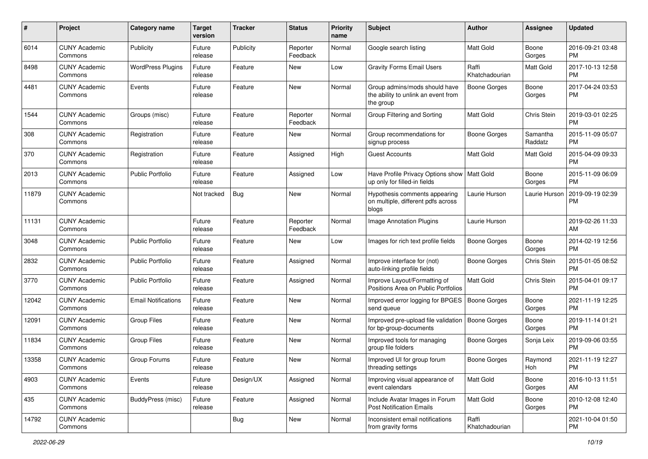| #     | Project                         | <b>Category name</b>       | <b>Target</b><br>version | <b>Tracker</b> | <b>Status</b>        | Priority<br>name | <b>Subject</b>                                                                    | Author                  | <b>Assignee</b>     | <b>Updated</b>                |
|-------|---------------------------------|----------------------------|--------------------------|----------------|----------------------|------------------|-----------------------------------------------------------------------------------|-------------------------|---------------------|-------------------------------|
| 6014  | <b>CUNY Academic</b><br>Commons | Publicity                  | Future<br>release        | Publicity      | Reporter<br>Feedback | Normal           | Google search listing                                                             | <b>Matt Gold</b>        | Boone<br>Gorges     | 2016-09-21 03:48<br><b>PM</b> |
| 8498  | <b>CUNY Academic</b><br>Commons | <b>WordPress Plugins</b>   | Future<br>release        | Feature        | New                  | Low              | <b>Gravity Forms Email Users</b>                                                  | Raffi<br>Khatchadourian | Matt Gold           | 2017-10-13 12:58<br><b>PM</b> |
| 4481  | <b>CUNY Academic</b><br>Commons | Events                     | Future<br>release        | Feature        | New                  | Normal           | Group admins/mods should have<br>the ability to unlink an event from<br>the group | Boone Gorges            | Boone<br>Gorges     | 2017-04-24 03:53<br><b>PM</b> |
| 1544  | <b>CUNY Academic</b><br>Commons | Groups (misc)              | Future<br>release        | Feature        | Reporter<br>Feedback | Normal           | Group Filtering and Sorting                                                       | Matt Gold               | Chris Stein         | 2019-03-01 02:25<br><b>PM</b> |
| 308   | <b>CUNY Academic</b><br>Commons | Registration               | Future<br>release        | Feature        | New                  | Normal           | Group recommendations for<br>signup process                                       | <b>Boone Gorges</b>     | Samantha<br>Raddatz | 2015-11-09 05:07<br><b>PM</b> |
| 370   | <b>CUNY Academic</b><br>Commons | Registration               | Future<br>release        | Feature        | Assigned             | High             | <b>Guest Accounts</b>                                                             | <b>Matt Gold</b>        | Matt Gold           | 2015-04-09 09:33<br><b>PM</b> |
| 2013  | <b>CUNY Academic</b><br>Commons | <b>Public Portfolio</b>    | Future<br>release        | Feature        | Assigned             | Low              | Have Profile Privacy Options show   Matt Gold<br>up only for filled-in fields     |                         | Boone<br>Gorges     | 2015-11-09 06:09<br><b>PM</b> |
| 11879 | <b>CUNY Academic</b><br>Commons |                            | Not tracked              | Bug            | New                  | Normal           | Hypothesis comments appearing<br>on multiple, different pdfs across<br>blogs      | Laurie Hurson           | Laurie Hurson       | 2019-09-19 02:39<br><b>PM</b> |
| 11131 | <b>CUNY Academic</b><br>Commons |                            | Future<br>release        | Feature        | Reporter<br>Feedback | Normal           | <b>Image Annotation Plugins</b>                                                   | Laurie Hurson           |                     | 2019-02-26 11:33<br>AM        |
| 3048  | <b>CUNY Academic</b><br>Commons | Public Portfolio           | Future<br>release        | Feature        | New                  | Low              | Images for rich text profile fields                                               | Boone Gorges            | Boone<br>Gorges     | 2014-02-19 12:56<br><b>PM</b> |
| 2832  | <b>CUNY Academic</b><br>Commons | <b>Public Portfolio</b>    | Future<br>release        | Feature        | Assigned             | Normal           | Improve interface for (not)<br>auto-linking profile fields                        | Boone Gorges            | Chris Stein         | 2015-01-05 08:52<br><b>PM</b> |
| 3770  | <b>CUNY Academic</b><br>Commons | <b>Public Portfolio</b>    | Future<br>release        | Feature        | Assigned             | Normal           | Improve Layout/Formatting of<br>Positions Area on Public Portfolios               | <b>Matt Gold</b>        | Chris Stein         | 2015-04-01 09:17<br><b>PM</b> |
| 12042 | <b>CUNY Academic</b><br>Commons | <b>Email Notifications</b> | Future<br>release        | Feature        | <b>New</b>           | Normal           | Improved error logging for BPGES<br>send queue                                    | Boone Gorges            | Boone<br>Gorges     | 2021-11-19 12:25<br>PM        |
| 12091 | <b>CUNY Academic</b><br>Commons | <b>Group Files</b>         | Future<br>release        | Feature        | <b>New</b>           | Normal           | Improved pre-upload file validation<br>for bp-group-documents                     | Boone Gorges            | Boone<br>Gorges     | 2019-11-14 01:21<br><b>PM</b> |
| 11834 | <b>CUNY Academic</b><br>Commons | <b>Group Files</b>         | Future<br>release        | Feature        | New                  | Normal           | Improved tools for managing<br>group file folders                                 | Boone Gorges            | Sonja Leix          | 2019-09-06 03:55<br><b>PM</b> |
| 13358 | <b>CUNY Academic</b><br>Commons | Group Forums               | Future<br>release        | Feature        | New                  | Normal           | Improved UI for group forum<br>threading settings                                 | Boone Gorges            | Raymond<br>Hoh      | 2021-11-19 12:27<br>PM        |
| 4903  | <b>CUNY Academic</b><br>Commons | Events                     | Future<br>release        | Design/UX      | Assigned             | Normal           | Improving visual appearance of<br>event calendars                                 | <b>Matt Gold</b>        | Boone<br>Gorges     | 2016-10-13 11:51<br>AM        |
| 435   | <b>CUNY Academic</b><br>Commons | <b>BuddyPress (misc)</b>   | Future<br>release        | Feature        | Assigned             | Normal           | Include Avatar Images in Forum<br><b>Post Notification Emails</b>                 | Matt Gold               | Boone<br>Gorges     | 2010-12-08 12:40<br><b>PM</b> |
| 14792 | <b>CUNY Academic</b><br>Commons |                            |                          | <b>Bug</b>     | New                  | Normal           | Inconsistent email notifications<br>from gravity forms                            | Raffi<br>Khatchadourian |                     | 2021-10-04 01:50<br><b>PM</b> |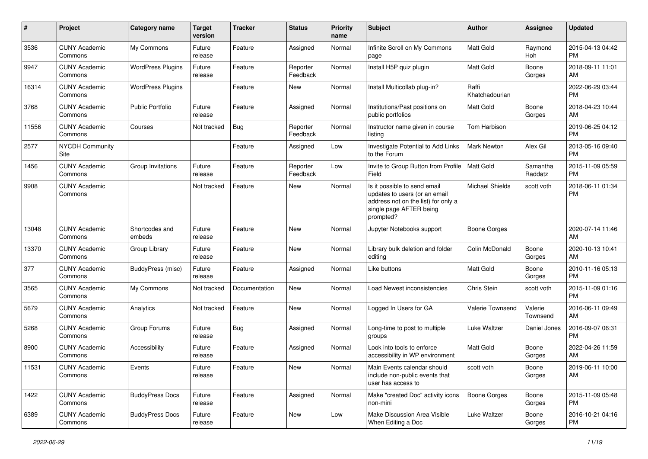| #     | Project                         | <b>Category name</b>     | <b>Target</b><br>version | <b>Tracker</b> | <b>Status</b>        | Priority<br>name | <b>Subject</b>                                                                                                                               | Author                  | <b>Assignee</b>     | <b>Updated</b>                |
|-------|---------------------------------|--------------------------|--------------------------|----------------|----------------------|------------------|----------------------------------------------------------------------------------------------------------------------------------------------|-------------------------|---------------------|-------------------------------|
| 3536  | <b>CUNY Academic</b><br>Commons | My Commons               | Future<br>release        | Feature        | Assigned             | Normal           | Infinite Scroll on My Commons<br>page                                                                                                        | <b>Matt Gold</b>        | Raymond<br>Hoh      | 2015-04-13 04:42<br><b>PM</b> |
| 9947  | <b>CUNY Academic</b><br>Commons | <b>WordPress Plugins</b> | Future<br>release        | Feature        | Reporter<br>Feedback | Normal           | Install H5P quiz plugin                                                                                                                      | <b>Matt Gold</b>        | Boone<br>Gorges     | 2018-09-11 11:01<br>AM        |
| 16314 | <b>CUNY Academic</b><br>Commons | <b>WordPress Plugins</b> |                          | Feature        | New                  | Normal           | Install Multicollab plug-in?                                                                                                                 | Raffi<br>Khatchadourian |                     | 2022-06-29 03:44<br>PM.       |
| 3768  | <b>CUNY Academic</b><br>Commons | Public Portfolio         | Future<br>release        | Feature        | Assigned             | Normal           | Institutions/Past positions on<br>public portfolios                                                                                          | <b>Matt Gold</b>        | Boone<br>Gorges     | 2018-04-23 10:44<br>AM        |
| 11556 | <b>CUNY Academic</b><br>Commons | Courses                  | Not tracked              | Bug            | Reporter<br>Feedback | Normal           | Instructor name given in course<br>listing                                                                                                   | Tom Harbison            |                     | 2019-06-25 04:12<br><b>PM</b> |
| 2577  | <b>NYCDH Community</b><br>Site  |                          |                          | Feature        | Assigned             | Low              | Investigate Potential to Add Links<br>to the Forum                                                                                           | Mark Newton             | Alex Gil            | 2013-05-16 09:40<br><b>PM</b> |
| 1456  | <b>CUNY Academic</b><br>Commons | Group Invitations        | Future<br>release        | Feature        | Reporter<br>Feedback | Low              | Invite to Group Button from Profile<br>Field                                                                                                 | <b>Matt Gold</b>        | Samantha<br>Raddatz | 2015-11-09 05:59<br><b>PM</b> |
| 9908  | <b>CUNY Academic</b><br>Commons |                          | Not tracked              | Feature        | New                  | Normal           | Is it possible to send email<br>updates to users (or an email<br>address not on the list) for only a<br>single page AFTER being<br>prompted? | <b>Michael Shields</b>  | scott voth          | 2018-06-11 01:34<br><b>PM</b> |
| 13048 | <b>CUNY Academic</b><br>Commons | Shortcodes and<br>embeds | Future<br>release        | Feature        | New                  | Normal           | Jupyter Notebooks support                                                                                                                    | Boone Gorges            |                     | 2020-07-14 11:46<br>AM        |
| 13370 | <b>CUNY Academic</b><br>Commons | Group Library            | Future<br>release        | Feature        | New                  | Normal           | Library bulk deletion and folder<br>editing                                                                                                  | Colin McDonald          | Boone<br>Gorges     | 2020-10-13 10:41<br>AM        |
| 377   | <b>CUNY Academic</b><br>Commons | BuddyPress (misc)        | Future<br>release        | Feature        | Assigned             | Normal           | Like buttons                                                                                                                                 | Matt Gold               | Boone<br>Gorges     | 2010-11-16 05:13<br><b>PM</b> |
| 3565  | <b>CUNY Academic</b><br>Commons | My Commons               | Not tracked              | Documentation  | <b>New</b>           | Normal           | Load Newest inconsistencies                                                                                                                  | Chris Stein             | scott voth          | 2015-11-09 01:16<br>PM.       |
| 5679  | <b>CUNY Academic</b><br>Commons | Analytics                | Not tracked              | Feature        | New                  | Normal           | Logged In Users for GA                                                                                                                       | Valerie Townsend        | Valerie<br>Townsend | 2016-06-11 09:49<br>AM        |
| 5268  | <b>CUNY Academic</b><br>Commons | Group Forums             | Future<br>release        | Bug            | Assigned             | Normal           | Long-time to post to multiple<br>groups                                                                                                      | Luke Waltzer            | Daniel Jones        | 2016-09-07 06:31<br><b>PM</b> |
| 8900  | <b>CUNY Academic</b><br>Commons | Accessibility            | Future<br>release        | Feature        | Assigned             | Normal           | Look into tools to enforce<br>accessibility in WP environment                                                                                | <b>Matt Gold</b>        | Boone<br>Gorges     | 2022-04-26 11:59<br>AM        |
| 11531 | <b>CUNY Academic</b><br>Commons | Events                   | Future<br>release        | Feature        | New                  | Normal           | Main Events calendar should<br>include non-public events that<br>user has access to                                                          | scott voth              | Boone<br>Gorges     | 2019-06-11 10:00<br>AM        |
| 1422  | <b>CUNY Academic</b><br>Commons | <b>BuddyPress Docs</b>   | Future<br>release        | Feature        | Assigned             | Normal           | Make "created Doc" activity icons<br>non-mini                                                                                                | <b>Boone Gorges</b>     | Boone<br>Gorges     | 2015-11-09 05:48<br><b>PM</b> |
| 6389  | <b>CUNY Academic</b><br>Commons | <b>BuddyPress Docs</b>   | Future<br>release        | Feature        | New                  | Low              | Make Discussion Area Visible<br>When Editing a Doc                                                                                           | Luke Waltzer            | Boone<br>Gorges     | 2016-10-21 04:16<br><b>PM</b> |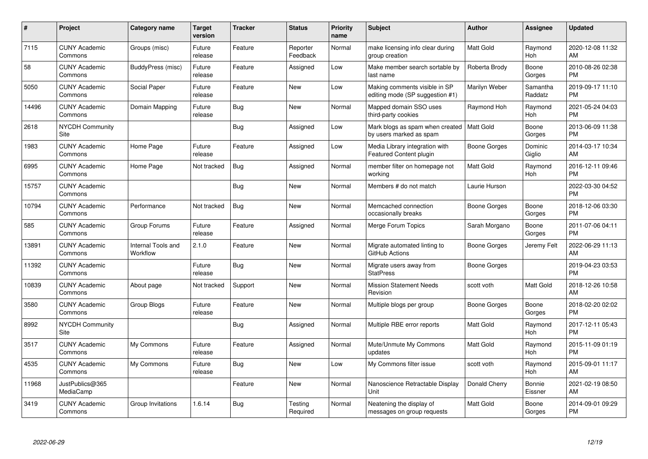| #     | <b>Project</b>                  | Category name                  | <b>Target</b><br>version | <b>Tracker</b> | <b>Status</b>        | <b>Priority</b><br>name | <b>Subject</b>                                                         | <b>Author</b>       | Assignee            | <b>Updated</b>                |
|-------|---------------------------------|--------------------------------|--------------------------|----------------|----------------------|-------------------------|------------------------------------------------------------------------|---------------------|---------------------|-------------------------------|
| 7115  | <b>CUNY Academic</b><br>Commons | Groups (misc)                  | Future<br>release        | Feature        | Reporter<br>Feedback | Normal                  | make licensing info clear during<br>group creation                     | <b>Matt Gold</b>    | Raymond<br>Hoh      | 2020-12-08 11:32<br>AM        |
| 58    | <b>CUNY Academic</b><br>Commons | BuddyPress (misc)              | Future<br>release        | Feature        | Assigned             | Low                     | Make member search sortable by<br>last name                            | Roberta Brody       | Boone<br>Gorges     | 2010-08-26 02:38<br><b>PM</b> |
| 5050  | <b>CUNY Academic</b><br>Commons | Social Paper                   | Future<br>release        | Feature        | <b>New</b>           | Low                     | Making comments visible in SP<br>editing mode (SP suggestion #1)       | Marilyn Weber       | Samantha<br>Raddatz | 2019-09-17 11:10<br><b>PM</b> |
| 14496 | <b>CUNY Academic</b><br>Commons | Domain Mapping                 | Future<br>release        | Bug            | <b>New</b>           | Normal                  | Mapped domain SSO uses<br>third-party cookies                          | Raymond Hoh         | Raymond<br>Hoh      | 2021-05-24 04:03<br><b>PM</b> |
| 2618  | <b>NYCDH Community</b><br>Site  |                                |                          | Bug            | Assigned             | Low                     | Mark blogs as spam when created   Matt Gold<br>by users marked as spam |                     | Boone<br>Gorges     | 2013-06-09 11:38<br><b>PM</b> |
| 1983  | <b>CUNY Academic</b><br>Commons | Home Page                      | Future<br>release        | Feature        | Assigned             | Low                     | Media Library integration with<br>Featured Content plugin              | Boone Gorges        | Dominic<br>Giglio   | 2014-03-17 10:34<br>AM        |
| 6995  | <b>CUNY Academic</b><br>Commons | Home Page                      | Not tracked              | <b>Bug</b>     | Assigned             | Normal                  | member filter on homepage not<br>working                               | <b>Matt Gold</b>    | Raymond<br>Hoh      | 2016-12-11 09:46<br><b>PM</b> |
| 15757 | <b>CUNY Academic</b><br>Commons |                                |                          | Bug            | New                  | Normal                  | Members # do not match                                                 | Laurie Hurson       |                     | 2022-03-30 04:52<br><b>PM</b> |
| 10794 | <b>CUNY Academic</b><br>Commons | Performance                    | Not tracked              | <b>Bug</b>     | New                  | Normal                  | Memcached connection<br>occasionally breaks                            | Boone Gorges        | Boone<br>Gorges     | 2018-12-06 03:30<br><b>PM</b> |
| 585   | <b>CUNY Academic</b><br>Commons | Group Forums                   | Future<br>release        | Feature        | Assigned             | Normal                  | <b>Merge Forum Topics</b>                                              | Sarah Morgano       | Boone<br>Gorges     | 2011-07-06 04:11<br><b>PM</b> |
| 13891 | <b>CUNY Academic</b><br>Commons | Internal Tools and<br>Workflow | 2.1.0                    | Feature        | New                  | Normal                  | Migrate automated linting to<br>GitHub Actions                         | Boone Gorges        | Jeremy Felt         | 2022-06-29 11:13<br>AM        |
| 11392 | <b>CUNY Academic</b><br>Commons |                                | Future<br>release        | Bug            | New                  | Normal                  | Migrate users away from<br><b>StatPress</b>                            | Boone Gorges        |                     | 2019-04-23 03:53<br><b>PM</b> |
| 10839 | <b>CUNY Academic</b><br>Commons | About page                     | Not tracked              | Support        | New                  | Normal                  | <b>Mission Statement Needs</b><br>Revision                             | scott voth          | Matt Gold           | 2018-12-26 10:58<br>AM        |
| 3580  | <b>CUNY Academic</b><br>Commons | Group Blogs                    | Future<br>release        | Feature        | <b>New</b>           | Normal                  | Multiple blogs per group                                               | <b>Boone Gorges</b> | Boone<br>Gorges     | 2018-02-20 02:02<br><b>PM</b> |
| 8992  | <b>NYCDH Community</b><br>Site  |                                |                          | Bug            | Assigned             | Normal                  | Multiple RBE error reports                                             | Matt Gold           | Raymond<br>Hoh      | 2017-12-11 05:43<br><b>PM</b> |
| 3517  | <b>CUNY Academic</b><br>Commons | My Commons                     | Future<br>release        | Feature        | Assigned             | Normal                  | Mute/Unmute My Commons<br>updates                                      | Matt Gold           | Raymond<br>Hoh      | 2015-11-09 01:19<br><b>PM</b> |
| 4535  | <b>CUNY Academic</b><br>Commons | My Commons                     | Future<br>release        | Bug            | New                  | Low                     | My Commons filter issue                                                | scott voth          | Raymond<br>Hoh      | 2015-09-01 11:17<br>AM        |
| 11968 | JustPublics@365<br>MediaCamp    |                                |                          | Feature        | <b>New</b>           | Normal                  | Nanoscience Retractable Display<br>Unit                                | Donald Cherry       | Bonnie<br>Eissner   | 2021-02-19 08:50<br>AM        |
| 3419  | <b>CUNY Academic</b><br>Commons | Group Invitations              | 1.6.14                   | Bug            | Testing<br>Required  | Normal                  | Neatening the display of<br>messages on group requests                 | <b>Matt Gold</b>    | Boone<br>Gorges     | 2014-09-01 09:29<br><b>PM</b> |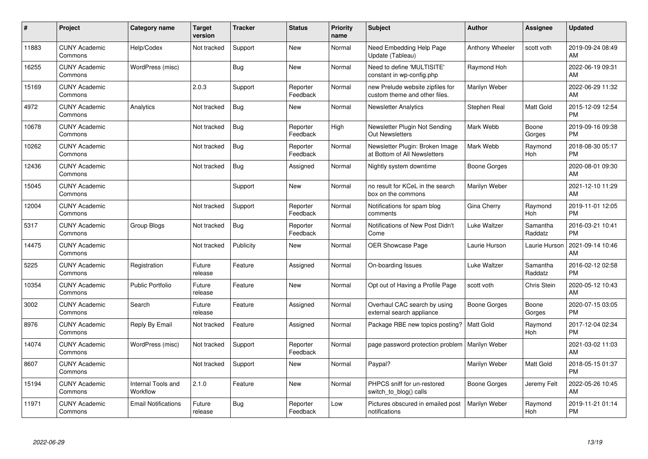| #     | Project                         | <b>Category name</b>           | <b>Target</b><br>version | <b>Tracker</b> | <b>Status</b>        | <b>Priority</b><br>name | <b>Subject</b>                                                    | <b>Author</b>       | <b>Assignee</b>     | <b>Updated</b>                |
|-------|---------------------------------|--------------------------------|--------------------------|----------------|----------------------|-------------------------|-------------------------------------------------------------------|---------------------|---------------------|-------------------------------|
| 11883 | <b>CUNY Academic</b><br>Commons | Help/Codex                     | Not tracked              | Support        | <b>New</b>           | Normal                  | Need Embedding Help Page<br>Update (Tableau)                      | Anthony Wheeler     | scott voth          | 2019-09-24 08:49<br>AM        |
| 16255 | <b>CUNY Academic</b><br>Commons | WordPress (misc)               |                          | Bug            | <b>New</b>           | Normal                  | Need to define 'MULTISITE'<br>constant in wp-config.php           | Raymond Hoh         |                     | 2022-06-19 09:31<br>AM        |
| 15169 | <b>CUNY Academic</b><br>Commons |                                | 2.0.3                    | Support        | Reporter<br>Feedback | Normal                  | new Prelude website zipfiles for<br>custom theme and other files. | Marilyn Weber       |                     | 2022-06-29 11:32<br>AM        |
| 4972  | <b>CUNY Academic</b><br>Commons | Analytics                      | Not tracked              | Bug            | <b>New</b>           | Normal                  | <b>Newsletter Analytics</b>                                       | Stephen Real        | Matt Gold           | 2015-12-09 12:54<br><b>PM</b> |
| 10678 | <b>CUNY Academic</b><br>Commons |                                | Not tracked              | <b>Bug</b>     | Reporter<br>Feedback | High                    | Newsletter Plugin Not Sending<br>Out Newsletters                  | Mark Webb           | Boone<br>Gorges     | 2019-09-16 09:38<br><b>PM</b> |
| 10262 | <b>CUNY Academic</b><br>Commons |                                | Not tracked              | <b>Bug</b>     | Reporter<br>Feedback | Normal                  | Newsletter Plugin: Broken Image<br>at Bottom of All Newsletters   | Mark Webb           | Raymond<br>Hoh      | 2018-08-30 05:17<br><b>PM</b> |
| 12436 | <b>CUNY Academic</b><br>Commons |                                | Not tracked              | <b>Bug</b>     | Assigned             | Normal                  | Nightly system downtime                                           | Boone Gorges        |                     | 2020-08-01 09:30<br>AM        |
| 15045 | <b>CUNY Academic</b><br>Commons |                                |                          | Support        | <b>New</b>           | Normal                  | no result for KCeL in the search<br>box on the commons            | Marilyn Weber       |                     | 2021-12-10 11:29<br>AM        |
| 12004 | <b>CUNY Academic</b><br>Commons |                                | Not tracked              | Support        | Reporter<br>Feedback | Normal                  | Notifications for spam blog<br>comments                           | Gina Cherry         | Raymond<br>Hoh      | 2019-11-01 12:05<br><b>PM</b> |
| 5317  | <b>CUNY Academic</b><br>Commons | <b>Group Blogs</b>             | Not tracked              | Bug            | Reporter<br>Feedback | Normal                  | Notifications of New Post Didn't<br>Come                          | Luke Waltzer        | Samantha<br>Raddatz | 2016-03-21 10:41<br><b>PM</b> |
| 14475 | <b>CUNY Academic</b><br>Commons |                                | Not tracked              | Publicity      | New                  | Normal                  | OER Showcase Page                                                 | Laurie Hurson       | Laurie Hurson       | 2021-09-14 10:46<br>AM        |
| 5225  | <b>CUNY Academic</b><br>Commons | Registration                   | Future<br>release        | Feature        | Assigned             | Normal                  | On-boarding Issues                                                | Luke Waltzer        | Samantha<br>Raddatz | 2016-02-12 02:58<br><b>PM</b> |
| 10354 | <b>CUNY Academic</b><br>Commons | <b>Public Portfolio</b>        | Future<br>release        | Feature        | New                  | Normal                  | Opt out of Having a Profile Page                                  | scott voth          | <b>Chris Stein</b>  | 2020-05-12 10:43<br>AM        |
| 3002  | <b>CUNY Academic</b><br>Commons | Search                         | Future<br>release        | Feature        | Assigned             | Normal                  | Overhaul CAC search by using<br>external search appliance         | <b>Boone Gorges</b> | Boone<br>Gorges     | 2020-07-15 03:05<br><b>PM</b> |
| 8976  | <b>CUNY Academic</b><br>Commons | Reply By Email                 | Not tracked              | Feature        | Assigned             | Normal                  | Package RBE new topics posting?                                   | Matt Gold           | Raymond<br>Hoh      | 2017-12-04 02:34<br><b>PM</b> |
| 14074 | <b>CUNY Academic</b><br>Commons | WordPress (misc)               | Not tracked              | Support        | Reporter<br>Feedback | Normal                  | page password protection problem                                  | Marilyn Weber       |                     | 2021-03-02 11:03<br>AM        |
| 8607  | <b>CUNY Academic</b><br>Commons |                                | Not tracked              | Support        | New                  | Normal                  | Paypal?                                                           | Marilyn Weber       | Matt Gold           | 2018-05-15 01:37<br><b>PM</b> |
| 15194 | <b>CUNY Academic</b><br>Commons | Internal Tools and<br>Workflow | 2.1.0                    | Feature        | <b>New</b>           | Normal                  | PHPCS sniff for un-restored<br>switch_to_blog() calls             | Boone Gorges        | Jeremy Felt         | 2022-05-26 10:45<br>AM        |
| 11971 | <b>CUNY Academic</b><br>Commons | <b>Email Notifications</b>     | Future<br>release        | Bug            | Reporter<br>Feedback | Low                     | Pictures obscured in emailed post<br>notifications                | Marilyn Weber       | Raymond<br>Hoh      | 2019-11-21 01:14<br><b>PM</b> |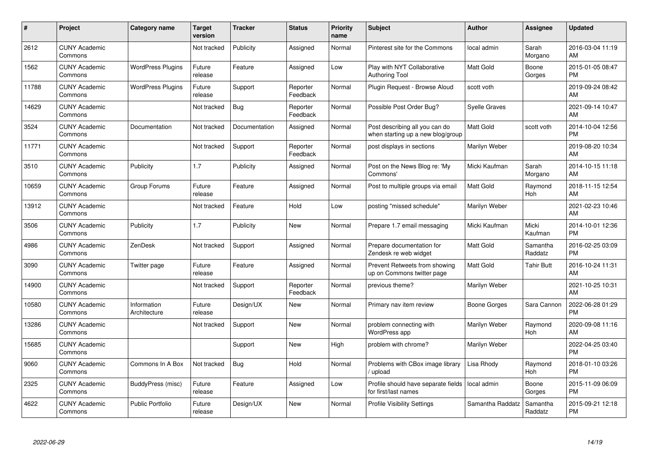| $\#$  | <b>Project</b>                  | <b>Category name</b>        | <b>Target</b><br>version | <b>Tracker</b> | <b>Status</b>        | <b>Priority</b><br>name | <b>Subject</b>                                                      | Author               | Assignee            | <b>Updated</b>                |
|-------|---------------------------------|-----------------------------|--------------------------|----------------|----------------------|-------------------------|---------------------------------------------------------------------|----------------------|---------------------|-------------------------------|
| 2612  | <b>CUNY Academic</b><br>Commons |                             | Not tracked              | Publicity      | Assigned             | Normal                  | Pinterest site for the Commons                                      | local admin          | Sarah<br>Morgano    | 2016-03-04 11:19<br>AM        |
| 1562  | <b>CUNY Academic</b><br>Commons | <b>WordPress Plugins</b>    | Future<br>release        | Feature        | Assigned             | Low                     | Play with NYT Collaborative<br><b>Authoring Tool</b>                | <b>Matt Gold</b>     | Boone<br>Gorges     | 2015-01-05 08:47<br><b>PM</b> |
| 11788 | <b>CUNY Academic</b><br>Commons | <b>WordPress Plugins</b>    | Future<br>release        | Support        | Reporter<br>Feedback | Normal                  | Plugin Request - Browse Aloud                                       | scott voth           |                     | 2019-09-24 08:42<br>AM        |
| 14629 | <b>CUNY Academic</b><br>Commons |                             | Not tracked              | Bug            | Reporter<br>Feedback | Normal                  | Possible Post Order Bug?                                            | <b>Syelle Graves</b> |                     | 2021-09-14 10:47<br>AM        |
| 3524  | <b>CUNY Academic</b><br>Commons | Documentation               | Not tracked              | Documentation  | Assigned             | Normal                  | Post describing all you can do<br>when starting up a new blog/group | Matt Gold            | scott voth          | 2014-10-04 12:56<br><b>PM</b> |
| 11771 | <b>CUNY Academic</b><br>Commons |                             | Not tracked              | Support        | Reporter<br>Feedback | Normal                  | post displays in sections                                           | Marilyn Weber        |                     | 2019-08-20 10:34<br>AM        |
| 3510  | <b>CUNY Academic</b><br>Commons | Publicity                   | 1.7                      | Publicity      | Assigned             | Normal                  | Post on the News Blog re: 'My<br>Commons'                           | Micki Kaufman        | Sarah<br>Morgano    | 2014-10-15 11:18<br>AM        |
| 10659 | <b>CUNY Academic</b><br>Commons | Group Forums                | Future<br>release        | Feature        | Assigned             | Normal                  | Post to multiple groups via email                                   | <b>Matt Gold</b>     | Raymond<br>Hoh      | 2018-11-15 12:54<br>AM        |
| 13912 | <b>CUNY Academic</b><br>Commons |                             | Not tracked              | Feature        | Hold                 | Low                     | posting "missed schedule"                                           | Marilyn Weber        |                     | 2021-02-23 10:46<br>AM        |
| 3506  | <b>CUNY Academic</b><br>Commons | Publicity                   | 1.7                      | Publicity      | <b>New</b>           | Normal                  | Prepare 1.7 email messaging                                         | Micki Kaufman        | Micki<br>Kaufman    | 2014-10-01 12:36<br><b>PM</b> |
| 4986  | <b>CUNY Academic</b><br>Commons | ZenDesk                     | Not tracked              | Support        | Assigned             | Normal                  | Prepare documentation for<br>Zendesk re web widget                  | <b>Matt Gold</b>     | Samantha<br>Raddatz | 2016-02-25 03:09<br><b>PM</b> |
| 3090  | <b>CUNY Academic</b><br>Commons | Twitter page                | Future<br>release        | Feature        | Assigned             | Normal                  | Prevent Retweets from showing<br>up on Commons twitter page         | <b>Matt Gold</b>     | Tahir Butt          | 2016-10-24 11:31<br>AM        |
| 14900 | <b>CUNY Academic</b><br>Commons |                             | Not tracked              | Support        | Reporter<br>Feedback | Normal                  | previous theme?                                                     | Marilyn Weber        |                     | 2021-10-25 10:31<br>AM        |
| 10580 | <b>CUNY Academic</b><br>Commons | Information<br>Architecture | Future<br>release        | Design/UX      | <b>New</b>           | Normal                  | Primary nav item review                                             | Boone Gorges         | Sara Cannon         | 2022-06-28 01:29<br><b>PM</b> |
| 13286 | <b>CUNY Academic</b><br>Commons |                             | Not tracked              | Support        | <b>New</b>           | Normal                  | problem connecting with<br>WordPress app                            | Marilyn Weber        | Raymond<br>Hoh      | 2020-09-08 11:16<br>AM        |
| 15685 | <b>CUNY Academic</b><br>Commons |                             |                          | Support        | New                  | High                    | problem with chrome?                                                | Marilyn Weber        |                     | 2022-04-25 03:40<br><b>PM</b> |
| 9060  | <b>CUNY Academic</b><br>Commons | Commons In A Box            | Not tracked              | Bug            | Hold                 | Normal                  | Problems with CBox image library<br>upload                          | Lisa Rhody           | Raymond<br>Hoh      | 2018-01-10 03:26<br><b>PM</b> |
| 2325  | <b>CUNY Academic</b><br>Commons | BuddyPress (misc)           | Future<br>release        | Feature        | Assigned             | Low                     | Profile should have separate fields<br>for first/last names         | local admin          | Boone<br>Gorges     | 2015-11-09 06:09<br><b>PM</b> |
| 4622  | <b>CUNY Academic</b><br>Commons | <b>Public Portfolio</b>     | Future<br>release        | Design/UX      | <b>New</b>           | Normal                  | <b>Profile Visibility Settings</b>                                  | Samantha Raddatz     | Samantha<br>Raddatz | 2015-09-21 12:18<br><b>PM</b> |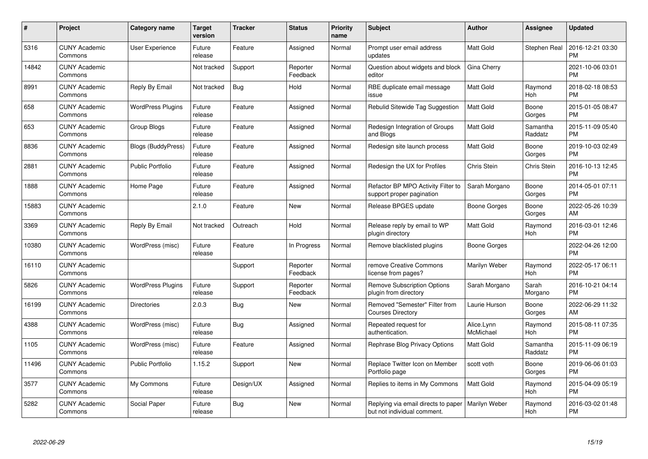| #     | Project                         | <b>Category name</b>      | <b>Target</b><br>version | <b>Tracker</b> | <b>Status</b>        | Priority<br>name | <b>Subject</b>                                                     | <b>Author</b>           | <b>Assignee</b>     | <b>Updated</b>                |
|-------|---------------------------------|---------------------------|--------------------------|----------------|----------------------|------------------|--------------------------------------------------------------------|-------------------------|---------------------|-------------------------------|
| 5316  | <b>CUNY Academic</b><br>Commons | User Experience           | Future<br>release        | Feature        | Assigned             | Normal           | Prompt user email address<br>updates                               | <b>Matt Gold</b>        | Stephen Real        | 2016-12-21 03:30<br><b>PM</b> |
| 14842 | <b>CUNY Academic</b><br>Commons |                           | Not tracked              | Support        | Reporter<br>Feedback | Normal           | Question about widgets and block<br>editor                         | Gina Cherry             |                     | 2021-10-06 03:01<br><b>PM</b> |
| 8991  | <b>CUNY Academic</b><br>Commons | Reply By Email            | Not tracked              | Bug            | Hold                 | Normal           | RBE duplicate email message<br>issue                               | Matt Gold               | Raymond<br>Hoh      | 2018-02-18 08:53<br><b>PM</b> |
| 658   | <b>CUNY Academic</b><br>Commons | <b>WordPress Plugins</b>  | Future<br>release        | Feature        | Assigned             | Normal           | Rebulid Sitewide Tag Suggestion                                    | Matt Gold               | Boone<br>Gorges     | 2015-01-05 08:47<br><b>PM</b> |
| 653   | <b>CUNY Academic</b><br>Commons | Group Blogs               | Future<br>release        | Feature        | Assigned             | Normal           | Redesign Integration of Groups<br>and Blogs                        | Matt Gold               | Samantha<br>Raddatz | 2015-11-09 05:40<br><b>PM</b> |
| 8836  | <b>CUNY Academic</b><br>Commons | <b>Blogs (BuddyPress)</b> | Future<br>release        | Feature        | Assigned             | Normal           | Redesign site launch process                                       | <b>Matt Gold</b>        | Boone<br>Gorges     | 2019-10-03 02:49<br><b>PM</b> |
| 2881  | <b>CUNY Academic</b><br>Commons | <b>Public Portfolio</b>   | Future<br>release        | Feature        | Assigned             | Normal           | Redesign the UX for Profiles                                       | Chris Stein             | Chris Stein         | 2016-10-13 12:45<br><b>PM</b> |
| 1888  | <b>CUNY Academic</b><br>Commons | Home Page                 | Future<br>release        | Feature        | Assigned             | Normal           | Refactor BP MPO Activity Filter to<br>support proper pagination    | Sarah Morgano           | Boone<br>Gorges     | 2014-05-01 07:11<br><b>PM</b> |
| 15883 | <b>CUNY Academic</b><br>Commons |                           | 2.1.0                    | Feature        | New                  | Normal           | Release BPGES update                                               | Boone Gorges            | Boone<br>Gorges     | 2022-05-26 10:39<br>AM        |
| 3369  | <b>CUNY Academic</b><br>Commons | Reply By Email            | Not tracked              | Outreach       | Hold                 | Normal           | Release reply by email to WP<br>plugin directory                   | <b>Matt Gold</b>        | Raymond<br>Hoh      | 2016-03-01 12:46<br><b>PM</b> |
| 10380 | <b>CUNY Academic</b><br>Commons | WordPress (misc)          | Future<br>release        | Feature        | In Progress          | Normal           | Remove blacklisted plugins                                         | Boone Gorges            |                     | 2022-04-26 12:00<br><b>PM</b> |
| 16110 | <b>CUNY Academic</b><br>Commons |                           |                          | Support        | Reporter<br>Feedback | Normal           | remove Creative Commons<br>license from pages?                     | Marilyn Weber           | Raymond<br>Hoh      | 2022-05-17 06:11<br><b>PM</b> |
| 5826  | <b>CUNY Academic</b><br>Commons | <b>WordPress Plugins</b>  | Future<br>release        | Support        | Reporter<br>Feedback | Normal           | <b>Remove Subscription Options</b><br>plugin from directory        | Sarah Morgano           | Sarah<br>Morgano    | 2016-10-21 04:14<br><b>PM</b> |
| 16199 | <b>CUNY Academic</b><br>Commons | <b>Directories</b>        | 2.0.3                    | Bug            | New                  | Normal           | Removed "Semester" Filter from<br><b>Courses Directory</b>         | Laurie Hurson           | Boone<br>Gorges     | 2022-06-29 11:32<br>AM        |
| 4388  | <b>CUNY Academic</b><br>Commons | WordPress (misc)          | Future<br>release        | <b>Bug</b>     | Assigned             | Normal           | Repeated request for<br>authentication.                            | Alice.Lynn<br>McMichael | Raymond<br>Hoh      | 2015-08-11 07:35<br><b>PM</b> |
| 1105  | <b>CUNY Academic</b><br>Commons | WordPress (misc)          | Future<br>release        | Feature        | Assigned             | Normal           | Rephrase Blog Privacy Options                                      | Matt Gold               | Samantha<br>Raddatz | 2015-11-09 06:19<br><b>PM</b> |
| 11496 | <b>CUNY Academic</b><br>Commons | <b>Public Portfolio</b>   | 1.15.2                   | Support        | New                  | Normal           | Replace Twitter Icon on Member<br>Portfolio page                   | scott voth              | Boone<br>Gorges     | 2019-06-06 01:03<br><b>PM</b> |
| 3577  | <b>CUNY Academic</b><br>Commons | My Commons                | Future<br>release        | Design/UX      | Assigned             | Normal           | Replies to items in My Commons                                     | <b>Matt Gold</b>        | Raymond<br>Hoh      | 2015-04-09 05:19<br><b>PM</b> |
| 5282  | <b>CUNY Academic</b><br>Commons | Social Paper              | Future<br>release        | Bug            | <b>New</b>           | Normal           | Replying via email directs to paper<br>but not individual comment. | Marilyn Weber           | Raymond<br>Hoh      | 2016-03-02 01:48<br><b>PM</b> |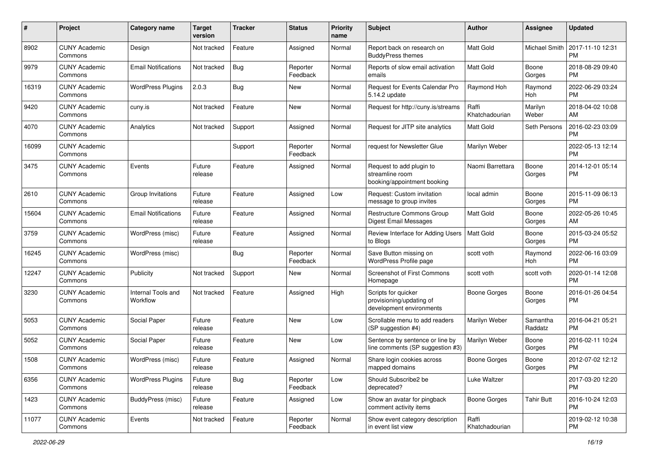| #     | Project                         | <b>Category name</b>           | <b>Target</b><br>version | <b>Tracker</b> | <b>Status</b>        | Priority<br>name | <b>Subject</b>                                                              | Author                  | <b>Assignee</b>     | <b>Updated</b>                |
|-------|---------------------------------|--------------------------------|--------------------------|----------------|----------------------|------------------|-----------------------------------------------------------------------------|-------------------------|---------------------|-------------------------------|
| 8902  | <b>CUNY Academic</b><br>Commons | Design                         | Not tracked              | Feature        | Assigned             | Normal           | Report back on research on<br><b>BuddyPress themes</b>                      | <b>Matt Gold</b>        | Michael Smith       | 2017-11-10 12:31<br><b>PM</b> |
| 9979  | <b>CUNY Academic</b><br>Commons | <b>Email Notifications</b>     | Not tracked              | Bug            | Reporter<br>Feedback | Normal           | Reports of slow email activation<br>emails                                  | <b>Matt Gold</b>        | Boone<br>Gorges     | 2018-08-29 09:40<br><b>PM</b> |
| 16319 | <b>CUNY Academic</b><br>Commons | <b>WordPress Plugins</b>       | 2.0.3                    | <b>Bug</b>     | New                  | Normal           | Request for Events Calendar Pro<br>5.14.2 update                            | Raymond Hoh             | Raymond<br>Hoh      | 2022-06-29 03:24<br><b>PM</b> |
| 9420  | <b>CUNY Academic</b><br>Commons | cuny.is                        | Not tracked              | Feature        | New                  | Normal           | Request for http://cuny.is/streams                                          | Raffi<br>Khatchadourian | Marilyn<br>Weber    | 2018-04-02 10:08<br>AM        |
| 4070  | <b>CUNY Academic</b><br>Commons | Analytics                      | Not tracked              | Support        | Assigned             | Normal           | Request for JITP site analytics                                             | Matt Gold               | Seth Persons        | 2016-02-23 03:09<br><b>PM</b> |
| 16099 | <b>CUNY Academic</b><br>Commons |                                |                          | Support        | Reporter<br>Feedback | Normal           | request for Newsletter Glue                                                 | Marilyn Weber           |                     | 2022-05-13 12:14<br><b>PM</b> |
| 3475  | <b>CUNY Academic</b><br>Commons | Events                         | Future<br>release        | Feature        | Assigned             | Normal           | Request to add plugin to<br>streamline room<br>booking/appointment booking  | Naomi Barrettara        | Boone<br>Gorges     | 2014-12-01 05:14<br><b>PM</b> |
| 2610  | <b>CUNY Academic</b><br>Commons | Group Invitations              | Future<br>release        | Feature        | Assigned             | Low              | Request: Custom invitation<br>message to group invites                      | local admin             | Boone<br>Gorges     | 2015-11-09 06:13<br><b>PM</b> |
| 15604 | <b>CUNY Academic</b><br>Commons | <b>Email Notifications</b>     | Future<br>release        | Feature        | Assigned             | Normal           | Restructure Commons Group<br><b>Digest Email Messages</b>                   | <b>Matt Gold</b>        | Boone<br>Gorges     | 2022-05-26 10:45<br>AM        |
| 3759  | <b>CUNY Academic</b><br>Commons | WordPress (misc)               | Future<br>release        | Feature        | Assigned             | Normal           | Review Interface for Adding Users<br>to Blogs                               | <b>Matt Gold</b>        | Boone<br>Gorges     | 2015-03-24 05:52<br><b>PM</b> |
| 16245 | <b>CUNY Academic</b><br>Commons | WordPress (misc)               |                          | Bug            | Reporter<br>Feedback | Normal           | Save Button missing on<br>WordPress Profile page                            | scott voth              | Raymond<br>Hoh      | 2022-06-16 03:09<br><b>PM</b> |
| 12247 | <b>CUNY Academic</b><br>Commons | Publicity                      | Not tracked              | Support        | New                  | Normal           | Screenshot of First Commons<br>Homepage                                     | scott voth              | scott voth          | 2020-01-14 12:08<br><b>PM</b> |
| 3230  | <b>CUNY Academic</b><br>Commons | Internal Tools and<br>Workflow | Not tracked              | Feature        | Assigned             | High             | Scripts for quicker<br>provisioning/updating of<br>development environments | Boone Gorges            | Boone<br>Gorges     | 2016-01-26 04:54<br><b>PM</b> |
| 5053  | <b>CUNY Academic</b><br>Commons | Social Paper                   | Future<br>release        | Feature        | <b>New</b>           | Low              | Scrollable menu to add readers<br>(SP suggestion #4)                        | Marilyn Weber           | Samantha<br>Raddatz | 2016-04-21 05:21<br><b>PM</b> |
| 5052  | <b>CUNY Academic</b><br>Commons | Social Paper                   | Future<br>release        | Feature        | New                  | Low              | Sentence by sentence or line by<br>line comments (SP suggestion #3)         | Marilyn Weber           | Boone<br>Gorges     | 2016-02-11 10:24<br><b>PM</b> |
| 1508  | <b>CUNY Academic</b><br>Commons | WordPress (misc)               | Future<br>release        | Feature        | Assigned             | Normal           | Share login cookies across<br>mapped domains                                | <b>Boone Gorges</b>     | Boone<br>Gorges     | 2012-07-02 12:12<br>PM        |
| 6356  | <b>CUNY Academic</b><br>Commons | <b>WordPress Plugins</b>       | Future<br>release        | Bug            | Reporter<br>Feedback | Low              | Should Subscribe2 be<br>deprecated?                                         | Luke Waltzer            |                     | 2017-03-20 12:20<br><b>PM</b> |
| 1423  | <b>CUNY Academic</b><br>Commons | BuddyPress (misc)              | Future<br>release        | Feature        | Assigned             | Low              | Show an avatar for pingback<br>comment activity items                       | Boone Gorges            | <b>Tahir Butt</b>   | 2016-10-24 12:03<br><b>PM</b> |
| 11077 | <b>CUNY Academic</b><br>Commons | Events                         | Not tracked              | Feature        | Reporter<br>Feedback | Normal           | Show event category description<br>in event list view                       | Raffi<br>Khatchadourian |                     | 2019-02-12 10:38<br><b>PM</b> |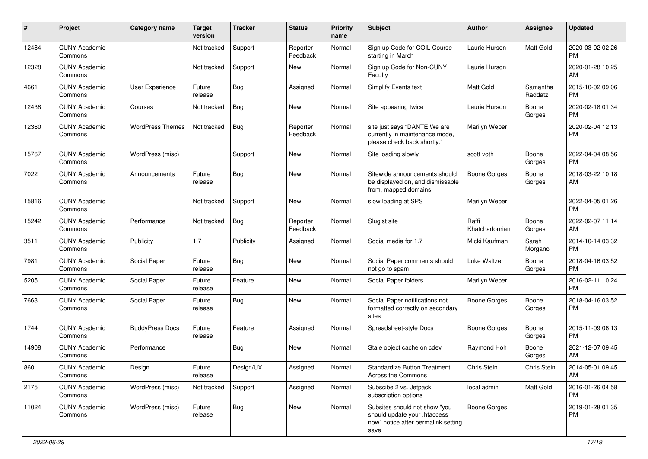| #     | Project                         | Category name           | <b>Target</b><br>version | Tracker   | <b>Status</b>        | <b>Priority</b><br>name | <b>Subject</b>                                                                                               | Author                  | <b>Assignee</b>     | <b>Updated</b>                |
|-------|---------------------------------|-------------------------|--------------------------|-----------|----------------------|-------------------------|--------------------------------------------------------------------------------------------------------------|-------------------------|---------------------|-------------------------------|
| 12484 | <b>CUNY Academic</b><br>Commons |                         | Not tracked              | Support   | Reporter<br>Feedback | Normal                  | Sign up Code for COIL Course<br>starting in March                                                            | Laurie Hurson           | Matt Gold           | 2020-03-02 02:26<br><b>PM</b> |
| 12328 | <b>CUNY Academic</b><br>Commons |                         | Not tracked              | Support   | New                  | Normal                  | Sign up Code for Non-CUNY<br>Faculty                                                                         | Laurie Hurson           |                     | 2020-01-28 10:25<br>AM        |
| 4661  | <b>CUNY Academic</b><br>Commons | User Experience         | Future<br>release        | Bug       | Assigned             | Normal                  | Simplify Events text                                                                                         | Matt Gold               | Samantha<br>Raddatz | 2015-10-02 09:06<br><b>PM</b> |
| 12438 | <b>CUNY Academic</b><br>Commons | Courses                 | Not tracked              | Bug       | New                  | Normal                  | Site appearing twice                                                                                         | Laurie Hurson           | Boone<br>Gorges     | 2020-02-18 01:34<br>PM        |
| 12360 | <b>CUNY Academic</b><br>Commons | <b>WordPress Themes</b> | Not tracked              | Bug       | Reporter<br>Feedback | Normal                  | site just says "DANTE We are<br>currently in maintenance mode,<br>please check back shortly."                | Marilyn Weber           |                     | 2020-02-04 12:13<br><b>PM</b> |
| 15767 | <b>CUNY Academic</b><br>Commons | WordPress (misc)        |                          | Support   | <b>New</b>           | Normal                  | Site loading slowly                                                                                          | scott voth              | Boone<br>Gorges     | 2022-04-04 08:56<br><b>PM</b> |
| 7022  | <b>CUNY Academic</b><br>Commons | Announcements           | Future<br>release        | Bug       | <b>New</b>           | Normal                  | Sitewide announcements should<br>be displayed on, and dismissable<br>from, mapped domains                    | <b>Boone Gorges</b>     | Boone<br>Gorges     | 2018-03-22 10:18<br>AM        |
| 15816 | <b>CUNY Academic</b><br>Commons |                         | Not tracked              | Support   | <b>New</b>           | Normal                  | slow loading at SPS                                                                                          | Marilyn Weber           |                     | 2022-04-05 01:26<br><b>PM</b> |
| 15242 | <b>CUNY Academic</b><br>Commons | Performance             | Not tracked              | Bug       | Reporter<br>Feedback | Normal                  | Slugist site                                                                                                 | Raffi<br>Khatchadourian | Boone<br>Gorges     | 2022-02-07 11:14<br>AM        |
| 3511  | <b>CUNY Academic</b><br>Commons | Publicity               | 1.7                      | Publicity | Assigned             | Normal                  | Social media for 1.7                                                                                         | Micki Kaufman           | Sarah<br>Morgano    | 2014-10-14 03:32<br><b>PM</b> |
| 7981  | <b>CUNY Academic</b><br>Commons | Social Paper            | Future<br>release        | Bug       | <b>New</b>           | Normal                  | Social Paper comments should<br>not go to spam                                                               | Luke Waltzer            | Boone<br>Gorges     | 2018-04-16 03:52<br><b>PM</b> |
| 5205  | <b>CUNY Academic</b><br>Commons | Social Paper            | Future<br>release        | Feature   | <b>New</b>           | Normal                  | Social Paper folders                                                                                         | Marilyn Weber           |                     | 2016-02-11 10:24<br><b>PM</b> |
| 7663  | <b>CUNY Academic</b><br>Commons | Social Paper            | Future<br>release        | Bug       | <b>New</b>           | Normal                  | Social Paper notifications not<br>formatted correctly on secondary<br>sites                                  | <b>Boone Gorges</b>     | Boone<br>Gorges     | 2018-04-16 03:52<br><b>PM</b> |
| 1744  | <b>CUNY Academic</b><br>Commons | <b>BuddyPress Docs</b>  | Future<br>release        | Feature   | Assigned             | Normal                  | Spreadsheet-style Docs                                                                                       | <b>Boone Gorges</b>     | Boone<br>Gorges     | 2015-11-09 06:13<br><b>PM</b> |
| 14908 | <b>CUNY Academic</b><br>Commons | Performance             |                          | Bug       | <b>New</b>           | Normal                  | Stale object cache on cdev                                                                                   | Raymond Hoh             | Boone<br>Gorges     | 2021-12-07 09:45<br>AM        |
| 860   | <b>CUNY Academic</b><br>Commons | Design                  | Future<br>release        | Design/UX | Assigned             | Normal                  | <b>Standardize Button Treatment</b><br>Across the Commons                                                    | Chris Stein             | Chris Stein         | 2014-05-01 09:45<br>AM        |
| 2175  | <b>CUNY Academic</b><br>Commons | WordPress (misc)        | Not tracked              | Support   | Assigned             | Normal                  | Subscibe 2 vs. Jetpack<br>subscription options                                                               | local admin             | Matt Gold           | 2016-01-26 04:58<br><b>PM</b> |
| 11024 | <b>CUNY Academic</b><br>Commons | WordPress (misc)        | Future<br>release        | Bug       | New                  | Normal                  | Subsites should not show "you<br>should update your .htaccess<br>now" notice after permalink setting<br>save | <b>Boone Gorges</b>     |                     | 2019-01-28 01:35<br><b>PM</b> |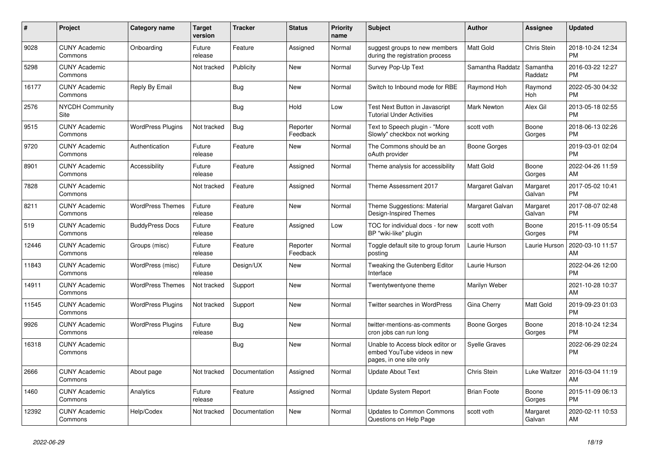| #     | <b>Project</b>                  | <b>Category name</b>     | <b>Target</b><br>version | <b>Tracker</b> | <b>Status</b>        | Priority<br>name | <b>Subject</b>                                                                             | <b>Author</b>      | Assignee            | <b>Updated</b>                |
|-------|---------------------------------|--------------------------|--------------------------|----------------|----------------------|------------------|--------------------------------------------------------------------------------------------|--------------------|---------------------|-------------------------------|
| 9028  | <b>CUNY Academic</b><br>Commons | Onboarding               | Future<br>release        | Feature        | Assigned             | Normal           | suggest groups to new members<br>during the registration process                           | <b>Matt Gold</b>   | Chris Stein         | 2018-10-24 12:34<br><b>PM</b> |
| 5298  | <b>CUNY Academic</b><br>Commons |                          | Not tracked              | Publicity      | New                  | Normal           | Survey Pop-Up Text                                                                         | Samantha Raddatz   | Samantha<br>Raddatz | 2016-03-22 12:27<br><b>PM</b> |
| 16177 | <b>CUNY Academic</b><br>Commons | Reply By Email           |                          | Bug            | <b>New</b>           | Normal           | Switch to Inbound mode for RBE                                                             | Raymond Hoh        | Raymond<br>Hoh      | 2022-05-30 04:32<br><b>PM</b> |
| 2576  | <b>NYCDH Community</b><br>Site  |                          |                          | <b>Bug</b>     | Hold                 | Low              | Test Next Button in Javascript<br><b>Tutorial Under Activities</b>                         | <b>Mark Newton</b> | Alex Gil            | 2013-05-18 02:55<br><b>PM</b> |
| 9515  | <b>CUNY Academic</b><br>Commons | <b>WordPress Plugins</b> | Not tracked              | <b>Bug</b>     | Reporter<br>Feedback | Normal           | Text to Speech plugin - "More<br>Slowly" checkbox not working                              | scott voth         | Boone<br>Gorges     | 2018-06-13 02:26<br><b>PM</b> |
| 9720  | <b>CUNY Academic</b><br>Commons | Authentication           | Future<br>release        | Feature        | New                  | Normal           | The Commons should be an<br>oAuth provider                                                 | Boone Gorges       |                     | 2019-03-01 02:04<br><b>PM</b> |
| 8901  | <b>CUNY Academic</b><br>Commons | Accessibility            | Future<br>release        | Feature        | Assigned             | Normal           | Theme analysis for accessibility                                                           | <b>Matt Gold</b>   | Boone<br>Gorges     | 2022-04-26 11:59<br>AM        |
| 7828  | <b>CUNY Academic</b><br>Commons |                          | Not tracked              | Feature        | Assigned             | Normal           | Theme Assessment 2017                                                                      | Margaret Galvan    | Margaret<br>Galvan  | 2017-05-02 10:41<br><b>PM</b> |
| 8211  | <b>CUNY Academic</b><br>Commons | <b>WordPress Themes</b>  | Future<br>release        | Feature        | New                  | Normal           | Theme Suggestions: Material<br>Design-Inspired Themes                                      | Margaret Galvan    | Margaret<br>Galvan  | 2017-08-07 02:48<br><b>PM</b> |
| 519   | <b>CUNY Academic</b><br>Commons | <b>BuddyPress Docs</b>   | Future<br>release        | Feature        | Assigned             | Low              | TOC for individual docs - for new<br>BP "wiki-like" plugin                                 | scott voth         | Boone<br>Gorges     | 2015-11-09 05:54<br><b>PM</b> |
| 12446 | <b>CUNY Academic</b><br>Commons | Groups (misc)            | Future<br>release        | Feature        | Reporter<br>Feedback | Normal           | Toggle default site to group forum<br>posting                                              | Laurie Hurson      | Laurie Hurson       | 2020-03-10 11:57<br>AM        |
| 11843 | <b>CUNY Academic</b><br>Commons | WordPress (misc)         | Future<br>release        | Design/UX      | New                  | Normal           | Tweaking the Gutenberg Editor<br>Interface                                                 | Laurie Hurson      |                     | 2022-04-26 12:00<br><b>PM</b> |
| 14911 | <b>CUNY Academic</b><br>Commons | <b>WordPress Themes</b>  | Not tracked              | Support        | <b>New</b>           | Normal           | Twentytwentyone theme                                                                      | Marilyn Weber      |                     | 2021-10-28 10:37<br>AM        |
| 11545 | <b>CUNY Academic</b><br>Commons | <b>WordPress Plugins</b> | Not tracked              | Support        | <b>New</b>           | Normal           | Twitter searches in WordPress                                                              | Gina Cherry        | Matt Gold           | 2019-09-23 01:03<br><b>PM</b> |
| 9926  | <b>CUNY Academic</b><br>Commons | <b>WordPress Plugins</b> | Future<br>release        | Bug            | New                  | Normal           | twitter-mentions-as-comments<br>cron jobs can run long                                     | Boone Gorges       | Boone<br>Gorges     | 2018-10-24 12:34<br><b>PM</b> |
| 16318 | <b>CUNY Academic</b><br>Commons |                          |                          | Bug            | <b>New</b>           | Normal           | Unable to Access block editor or<br>embed YouTube videos in new<br>pages, in one site only | Syelle Graves      |                     | 2022-06-29 02:24<br><b>PM</b> |
| 2666  | <b>CUNY Academic</b><br>Commons | About page               | Not tracked              | Documentation  | Assigned             | Normal           | <b>Update About Text</b>                                                                   | Chris Stein        | Luke Waltzer        | 2016-03-04 11:19<br>AM        |
| 1460  | <b>CUNY Academic</b><br>Commons | Analytics                | Future<br>release        | Feature        | Assigned             | Normal           | Update System Report                                                                       | <b>Brian Foote</b> | Boone<br>Gorges     | 2015-11-09 06:13<br><b>PM</b> |
| 12392 | <b>CUNY Academic</b><br>Commons | Help/Codex               | Not tracked              | Documentation  | <b>New</b>           | Normal           | <b>Updates to Common Commons</b><br>Questions on Help Page                                 | scott voth         | Margaret<br>Galvan  | 2020-02-11 10:53<br>AM        |